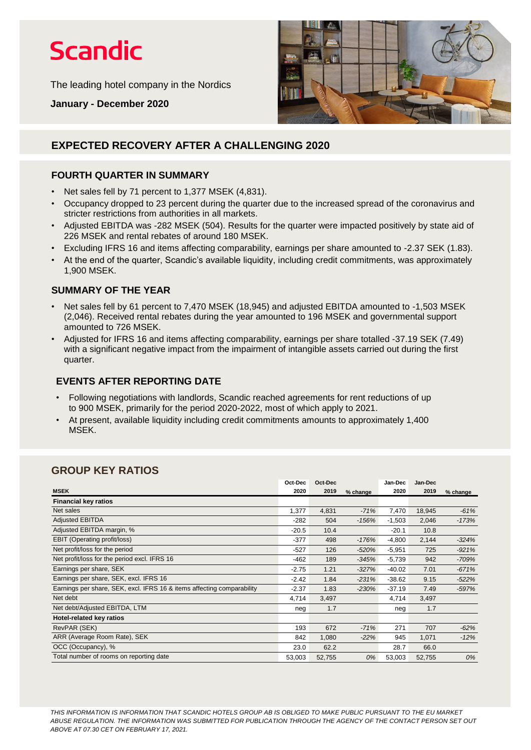# **Scandic**

The leading hotel company in the Nordics

**January - December 2020**



## **EXPECTED RECOVERY AFTER A CHALLENGING 2020**

### **FOURTH QUARTER IN SUMMARY**

- Net sales fell by 71 percent to 1,377 MSEK (4,831).
- Occupancy dropped to 23 percent during the quarter due to the increased spread of the coronavirus and stricter restrictions from authorities in all markets.
- Adjusted EBITDA was -282 MSEK (504). Results for the quarter were impacted positively by state aid of 226 MSEK and rental rebates of around 180 MSEK.
- Excluding IFRS 16 and items affecting comparability, earnings per share amounted to -2.37 SEK (1.83).
- At the end of the quarter, Scandic's available liquidity, including credit commitments, was approximately 1,900 MSEK.

### **SUMMARY OF THE YEAR**

- Net sales fell by 61 percent to 7,470 MSEK (18,945) and adjusted EBITDA amounted to -1,503 MSEK (2,046). Received rental rebates during the year amounted to 196 MSEK and governmental support amounted to 726 MSEK.
- Adjusted for IFRS 16 and items affecting comparability, earnings per share totalled -37.19 SEK (7.49) with a significant negative impact from the impairment of intangible assets carried out during the first quarter.

### **EVENTS AFTER REPORTING DATE**

- Following negotiations with landlords, Scandic reached agreements for rent reductions of up to 900 MSEK, primarily for the period 2020-2022, most of which apply to 2021.
- At present, available liquidity including credit commitments amounts to approximately 1,400 MSEK.

## **GROUP KEY RATIOS**

|                                                                        | Oct-Dec | Oct-Dec |          | Jan-Dec  | Jan-Dec |          |
|------------------------------------------------------------------------|---------|---------|----------|----------|---------|----------|
| <b>MSEK</b>                                                            | 2020    | 2019    | % change | 2020     | 2019    | % change |
| <b>Financial key ratios</b>                                            |         |         |          |          |         |          |
| Net sales                                                              | 1,377   | 4,831   | $-71%$   | 7,470    | 18,945  | $-61%$   |
| <b>Adjusted EBITDA</b>                                                 | -282    | 504     | $-156%$  | $-1,503$ | 2,046   | $-173%$  |
| Adjusted EBITDA margin, %                                              | $-20.5$ | 10.4    |          | $-20.1$  | 10.8    |          |
| <b>EBIT (Operating profit/loss)</b>                                    | $-377$  | 498     | $-176%$  | $-4,800$ | 2,144   | $-324%$  |
| Net profit/loss for the period                                         | $-527$  | 126     | $-520%$  | $-5,951$ | 725     | $-921%$  |
| Net profit/loss for the period excl. IFRS 16                           | $-462$  | 189     | $-345%$  | $-5,739$ | 942     | $-709%$  |
| Earnings per share, SEK                                                | $-2.75$ | 1.21    | $-327%$  | $-40.02$ | 7.01    | $-671%$  |
| Earnings per share, SEK, excl. IFRS 16                                 | $-2.42$ | 1.84    | $-231%$  | $-38.62$ | 9.15    | $-522%$  |
| Earnings per share, SEK, excl. IFRS 16 & items affecting comparability | $-2.37$ | 1.83    | $-230%$  | $-37.19$ | 7.49    | $-597%$  |
| Net debt                                                               | 4,714   | 3,497   |          | 4,714    | 3,497   |          |
| Net debt/Adjusted EBITDA, LTM                                          | neg     | 1.7     |          | neg      | 1.7     |          |
| Hotel-related key ratios                                               |         |         |          |          |         |          |
| RevPAR (SEK)                                                           | 193     | 672     | $-71%$   | 271      | 707     | $-62%$   |
| ARR (Average Room Rate), SEK                                           | 842     | 1,080   | $-22%$   | 945      | 1,071   | $-12%$   |
| OCC (Occupancy), %                                                     | 23.0    | 62.2    |          | 28.7     | 66.0    |          |
| Total number of rooms on reporting date                                | 53,003  | 52,755  | 0%       | 53,003   | 52,755  | 0%       |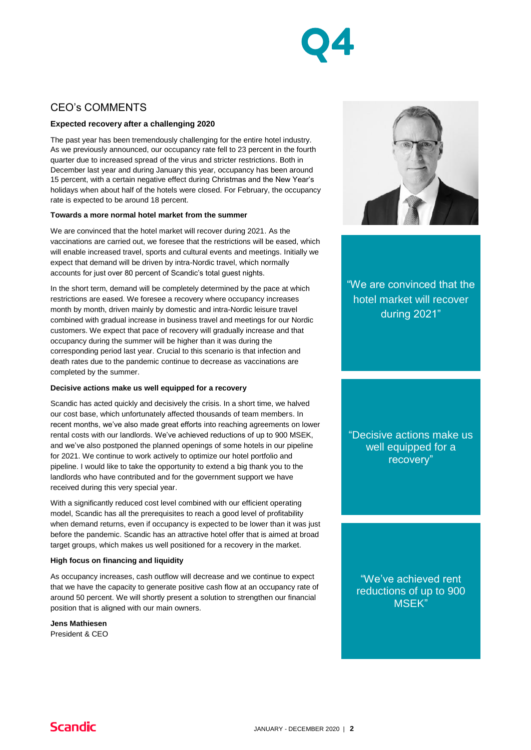

## CEO's COMMENTS

### **Expected recovery after a challenging 2020**

The past year has been tremendously challenging for the entire hotel industry. As we previously announced, our occupancy rate fell to 23 percent in the fourth quarter due to increased spread of the virus and stricter restrictions. Both in December last year and during January this year, occupancy has been around 15 percent, with a certain negative effect during Christmas and the New Year's holidays when about half of the hotels were closed. For February, the occupancy rate is expected to be around 18 percent.

#### **Towards a more normal hotel market from the summer**

We are convinced that the hotel market will recover during 2021. As the vaccinations are carried out, we foresee that the restrictions will be eased, which will enable increased travel, sports and cultural events and meetings. Initially we expect that demand will be driven by intra-Nordic travel, which normally accounts for just over 80 percent of Scandic's total guest nights.

In the short term, demand will be completely determined by the pace at which restrictions are eased. We foresee a recovery where occupancy increases month by month, driven mainly by domestic and intra-Nordic leisure travel combined with gradual increase in business travel and meetings for our Nordic customers. We expect that pace of recovery will gradually increase and that occupancy during the summer will be higher than it was during the corresponding period last year. Crucial to this scenario is that infection and death rates due to the pandemic continue to decrease as vaccinations are completed by the summer.

#### **Decisive actions make us well equipped for a recovery**

Scandic has acted quickly and decisively the crisis. In a short time, we halved our cost base, which unfortunately affected thousands of team members. In recent months, we've also made great efforts into reaching agreements on lower rental costs with our landlords. We've achieved reductions of up to 900 MSEK, and we've also postponed the planned openings of some hotels in our pipeline for 2021. We continue to work actively to optimize our hotel portfolio and pipeline. I would like to take the opportunity to extend a big thank you to the landlords who have contributed and for the government support we have received during this very special year.

With a significantly reduced cost level combined with our efficient operating model, Scandic has all the prerequisites to reach a good level of profitability when demand returns, even if occupancy is expected to be lower than it was just before the pandemic. Scandic has an attractive hotel offer that is aimed at broad target groups, which makes us well positioned for a recovery in the market.

#### **High focus on financing and liquidity**

As occupancy increases, cash outflow will decrease and we continue to expect that we have the capacity to generate positive cash flow at an occupancy rate of around 50 percent. We will shortly present a solution to strengthen our financial position that is aligned with our main owners.

**Jens Mathiesen** President & CEO



"We are convinced that the hotel market will recover during 2021"

"Decisive actions make us well equipped for a recovery"

"We've achieved rent reductions of up to 900 MSEK"

## **Scandic**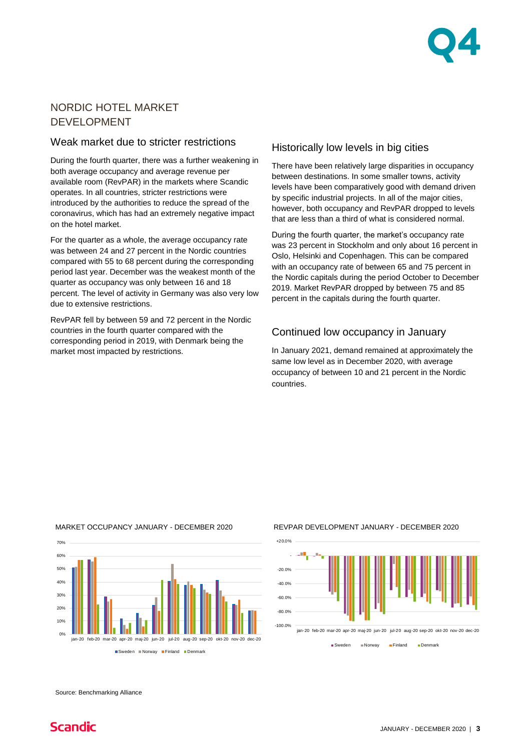

## NORDIC HOTEL MARKET DEVELOPMENT

### Weak market due to stricter restrictions

During the fourth quarter, there was a further weakening in both average occupancy and average revenue per available room (RevPAR) in the markets where Scandic operates. In all countries, stricter restrictions were introduced by the authorities to reduce the spread of the coronavirus, which has had an extremely negative impact on the hotel market.

For the quarter as a whole, the average occupancy rate was between 24 and 27 percent in the Nordic countries compared with 55 to 68 percent during the corresponding period last year. December was the weakest month of the quarter as occupancy was only between 16 and 18 percent. The level of activity in Germany was also very low due to extensive restrictions.

RevPAR fell by between 59 and 72 percent in the Nordic countries in the fourth quarter compared with the corresponding period in 2019, with Denmark being the market most impacted by restrictions.

### Historically low levels in big cities

There have been relatively large disparities in occupancy between destinations. In some smaller towns, activity levels have been comparatively good with demand driven by specific industrial projects. In all of the major cities, however, both occupancy and RevPAR dropped to levels that are less than a third of what is considered normal.

During the fourth quarter, the market's occupancy rate was 23 percent in Stockholm and only about 16 percent in Oslo, Helsinki and Copenhagen. This can be compared with an occupancy rate of between 65 and 75 percent in the Nordic capitals during the period October to December 2019. Market RevPAR dropped by between 75 and 85 percent in the capitals during the fourth quarter.

## Continued low occupancy in January

In January 2021, demand remained at approximately the same low level as in December 2020, with average occupancy of between 10 and 21 percent in the Nordic countries.

### MARKET OCCUPANCY JANUARY - DECEMBER 2020



#### REVPAR DEVELOPMENT JANUARY - DECEMBER 2020



Sweden **Norway** Finland Denmark

Source: Benchmarking Alliance

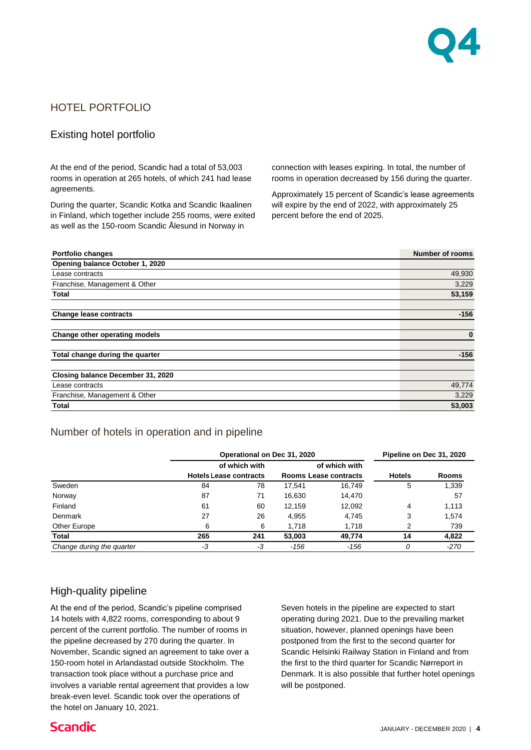

## HOTEL PORTFOLIO

### Existing hotel portfolio

At the end of the period, Scandic had a total of 53,003 rooms in operation at 265 hotels, of which 241 had lease agreements.

During the quarter, Scandic Kotka and Scandic Ikaalinen in Finland, which together include 255 rooms, were exited as well as the 150-room Scandic Ålesund in Norway in

connection with leases expiring. In total, the number of rooms in operation decreased by 156 during the quarter.

Approximately 15 percent of Scandic's lease agreements will expire by the end of 2022, with approximately 25 percent before the end of 2025.

| <b>Portfolio changes</b>                                                                                     |                               |               |                              |               |                                                          | <b>Number of rooms</b> |
|--------------------------------------------------------------------------------------------------------------|-------------------------------|---------------|------------------------------|---------------|----------------------------------------------------------|------------------------|
| Opening balance October 1, 2020                                                                              |                               |               |                              |               |                                                          |                        |
| Lease contracts                                                                                              |                               |               |                              |               |                                                          | 49,930                 |
| Franchise, Management & Other                                                                                |                               |               |                              |               |                                                          | 3,229                  |
| Total                                                                                                        |                               |               |                              |               |                                                          | 53,159                 |
|                                                                                                              |                               |               |                              |               |                                                          |                        |
| <b>Change lease contracts</b>                                                                                |                               |               |                              |               |                                                          | $-156$                 |
|                                                                                                              |                               |               |                              |               |                                                          |                        |
| Change other operating models                                                                                |                               |               |                              |               |                                                          | $\bf{0}$               |
|                                                                                                              |                               |               |                              |               |                                                          |                        |
| Total change during the quarter                                                                              |                               |               |                              |               |                                                          | $-156$                 |
| Closing balance December 31, 2020                                                                            |                               |               |                              |               |                                                          |                        |
| Lease contracts                                                                                              |                               |               |                              |               |                                                          | 49,774                 |
| Franchise, Management & Other                                                                                |                               |               |                              |               |                                                          | 3,229                  |
| <b>Total</b>                                                                                                 |                               |               |                              |               |                                                          | 53,003                 |
|                                                                                                              |                               |               |                              |               |                                                          |                        |
| Number of hotels in operation and in pipeline                                                                |                               |               |                              |               |                                                          |                        |
|                                                                                                              |                               |               |                              |               |                                                          |                        |
|                                                                                                              |                               |               | Operational on Dec 31, 2020  |               | Pipeline on Dec 31, 2020                                 |                        |
|                                                                                                              | <b>Hotels Lease contracts</b> | of which with | <b>Rooms Lease contracts</b> | of which with | <b>Hotels</b>                                            | <b>Rooms</b>           |
| Sweden                                                                                                       | 84                            | 78            | 17,541                       | 16,749        | 5                                                        | 1,339                  |
| Norway                                                                                                       | 87                            | 71            | 16,630                       | 14,470        |                                                          | 57                     |
| Finland                                                                                                      | 61                            | 60            | 12,159                       | 12,092        | 4                                                        | 1,113                  |
| Denmark                                                                                                      | 27                            | 26            | 4,955                        | 4,745         | 3                                                        | 1,574                  |
| Other Europe                                                                                                 | 6                             | 6             | 1,718                        | 1,718         | 2                                                        | 739                    |
| <b>Total</b>                                                                                                 | 265                           | 241           | 53,003                       | 49,774        | 14                                                       | 4,822                  |
| Change during the quarter                                                                                    | -3                            | -3            | $-156$                       | $-156$        | 0                                                        | $-270$                 |
|                                                                                                              |                               |               |                              |               |                                                          |                        |
| High-quality pipeline                                                                                        |                               |               |                              |               |                                                          |                        |
|                                                                                                              |                               |               |                              |               |                                                          |                        |
| At the end of the period, Scandic's pipeline comprised                                                       |                               |               |                              |               | Seven hotels in the pipeline are expected to start       |                        |
| 14 hotels with 4,822 rooms, corresponding to about 9                                                         |                               |               |                              |               | operating during 2021. Due to the prevailing market      |                        |
| percent of the current portfolio. The number of rooms in                                                     |                               |               |                              |               | situation, however, planned openings have been           |                        |
| the pipeline decreased by 270 during the quarter. In                                                         |                               |               |                              |               | postponed from the first to the second quarter for       |                        |
| November, Scandic signed an agreement to take over a<br>Scandic Helsinki Railway Station in Finland and from |                               |               |                              |               |                                                          |                        |
| 150-room hotel in Arlandastad outside Stockholm. The                                                         |                               |               |                              |               | the first to the third quarter for Scandic Nørreport in  |                        |
| transaction took place without a purchase price and                                                          |                               |               |                              |               | Denmark. It is also possible that further hotel openings |                        |
| involves a variable rental agreement that provides a low                                                     |                               |               | will be postponed.           |               |                                                          |                        |

### Number of hotels in operation and in pipeline

|                           | Operational on Dec 31, 2020 | Pipeline on Dec 31, 2020                                                                 |        |        |               |              |
|---------------------------|-----------------------------|------------------------------------------------------------------------------------------|--------|--------|---------------|--------------|
|                           |                             | of which with<br>of which with<br><b>Hotels Lease contracts</b><br>Rooms Lease contracts |        |        |               |              |
|                           |                             |                                                                                          |        |        | <b>Hotels</b> | <b>Rooms</b> |
| Sweden                    | 84                          | 78                                                                                       | 17.541 | 16.749 | 5             | 1,339        |
| Norway                    | 87                          | 71                                                                                       | 16.630 | 14.470 |               | 57           |
| Finland                   | 61                          | 60                                                                                       | 12.159 | 12,092 | 4             | 1,113        |
| Denmark                   | 27                          | 26                                                                                       | 4,955  | 4,745  | 3             | 1,574        |
| Other Europe              | 6                           | 6                                                                                        | 1.718  | 1.718  | っ             | 739          |
| Total                     | 265                         | 241                                                                                      | 53,003 | 49.774 | 14            | 4,822        |
| Change during the quarter | -3                          | -3                                                                                       | $-156$ | $-156$ |               | -270         |

### High-quality pipeline

At the end of the period, Scandic's pipeline comprised 14 hotels with 4,822 rooms, corresponding to about 9 percent of the current portfolio. The number of rooms in the pipeline decreased by 270 during the quarter. In November, Scandic signed an agreement to take over a 150-room hotel in Arlandastad outside Stockholm. The transaction took place without a purchase price and involves a variable rental agreement that provides a low break-even level. Scandic took over the operations of the hotel on January 10, 2021.

## **Scandic**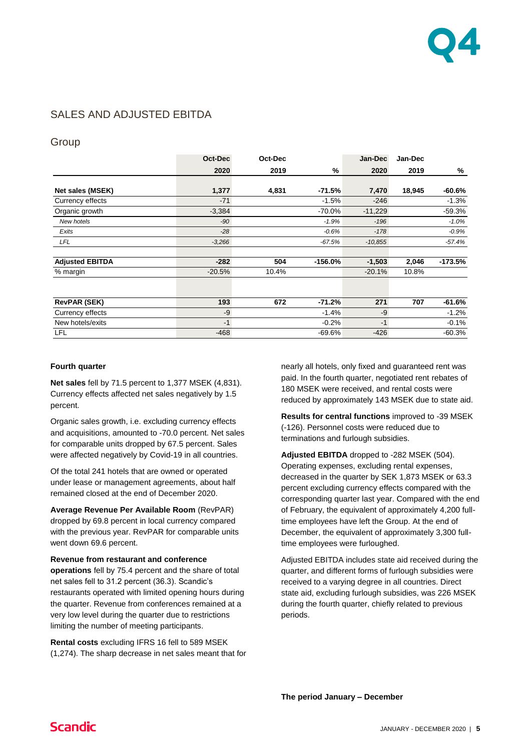

## SALES AND ADJUSTED EBITDA

### **Group**

|                        | Oct-Dec  | Oct-Dec |           | Jan-Dec   | Jan-Dec |           |
|------------------------|----------|---------|-----------|-----------|---------|-----------|
|                        | 2020     | 2019    | %         | 2020      | 2019    | %         |
| Net sales (MSEK)       | 1,377    | 4,831   | $-71.5%$  | 7,470     | 18,945  | $-60.6%$  |
| Currency effects       | $-71$    |         | $-1.5%$   | $-246$    |         | $-1.3%$   |
| Organic growth         | $-3,384$ |         | $-70.0\%$ | $-11,229$ |         | $-59.3%$  |
| New hotels             | $-90$    |         | $-1.9%$   | $-196$    |         | $-1.0%$   |
| Exits                  | $-28$    |         | $-0.6%$   | $-178$    |         | $-0.9%$   |
| LFL                    | $-3,266$ |         | $-67.5%$  | $-10.855$ |         | $-57.4%$  |
| <b>Adjusted EBITDA</b> | $-282$   | 504     | $-156.0%$ | $-1,503$  | 2,046   | $-173.5%$ |
| % margin               | $-20.5%$ | 10.4%   |           | $-20.1%$  | 10.8%   |           |
|                        |          |         |           |           |         |           |
| <b>RevPAR (SEK)</b>    | 193      | 672     | $-71.2%$  | 271       | 707     | $-61.6%$  |
| Currency effects       | -9       |         | $-1.4%$   | $-9$      |         | $-1.2%$   |
| New hotels/exits       | $-1$     |         | $-0.2%$   | $-1$      |         | $-0.1%$   |
| <b>LFL</b>             | $-468$   |         | -69.6%    | $-426$    |         | $-60.3%$  |

#### **Fourth quarter**

**Net sales** fell by 71.5 percent to 1,377 MSEK (4,831). Currency effects affected net sales negatively by 1.5 percent.

Organic sales growth, i.e. excluding currency effects and acquisitions, amounted to -70.0 percent. Net sales for comparable units dropped by 67.5 percent. Sales were affected negatively by Covid-19 in all countries.

Of the total 241 hotels that are owned or operated under lease or management agreements, about half remained closed at the end of December 2020.

**Average Revenue Per Available Room** (RevPAR) dropped by 69.8 percent in local currency compared with the previous year. RevPAR for comparable units went down 69.6 percent.

#### **Revenue from restaurant and conference**

**operations** fell by 75.4 percent and the share of total net sales fell to 31.2 percent (36.3). Scandic's restaurants operated with limited opening hours during the quarter. Revenue from conferences remained at a very low level during the quarter due to restrictions limiting the number of meeting participants.

**Rental costs** excluding IFRS 16 fell to 589 MSEK (1,274). The sharp decrease in net sales meant that for nearly all hotels, only fixed and guaranteed rent was paid. In the fourth quarter, negotiated rent rebates of 180 MSEK were received, and rental costs were reduced by approximately 143 MSEK due to state aid.

**Results for central functions** improved to -39 MSEK (-126). Personnel costs were reduced due to terminations and furlough subsidies.

**Adjusted EBITDA** dropped to -282 MSEK (504). Operating expenses, excluding rental expenses, decreased in the quarter by SEK 1,873 MSEK or 63.3 percent excluding currency effects compared with the corresponding quarter last year. Compared with the end of February, the equivalent of approximately 4,200 fulltime employees have left the Group. At the end of December, the equivalent of approximately 3,300 fulltime employees were furloughed.

Adjusted EBITDA includes state aid received during the quarter, and different forms of furlough subsidies were received to a varying degree in all countries. Direct state aid, excluding furlough subsidies, was 226 MSEK during the fourth quarter, chiefly related to previous periods.

**The period January – December**

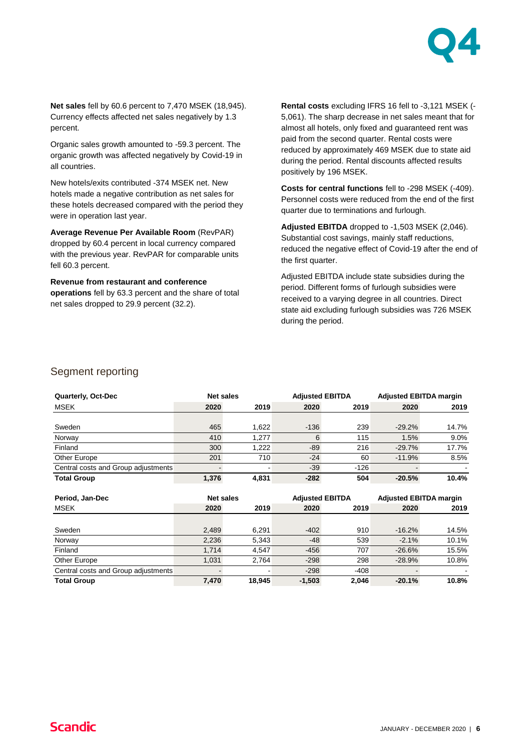

**Net sales** fell by 60.6 percent to 7,470 MSEK (18,945). Currency effects affected net sales negatively by 1.3 percent.

Organic sales growth amounted to -59.3 percent. The organic growth was affected negatively by Covid-19 in all countries.

New hotels/exits contributed -374 MSEK net. New hotels made a negative contribution as net sales for these hotels decreased compared with the period they were in operation last year.

**Average Revenue Per Available Room** (RevPAR) dropped by 60.4 percent in local currency compared with the previous year. RevPAR for comparable units fell 60.3 percent.

**Revenue from restaurant and conference operations** fell by 63.3 percent and the share of total net sales dropped to 29.9 percent (32.2).

**Rental costs** excluding IFRS 16 fell to -3,121 MSEK (- 5,061). The sharp decrease in net sales meant that for almost all hotels, only fixed and guaranteed rent was paid from the second quarter. Rental costs were reduced by approximately 469 MSEK due to state aid during the period. Rental discounts affected results positively by 196 MSEK.

**Costs for central functions** fell to -298 MSEK (-409). Personnel costs were reduced from the end of the first quarter due to terminations and furlough.

**Adjusted EBITDA** dropped to -1,503 MSEK (2,046). Substantial cost savings, mainly staff reductions, reduced the negative effect of Covid-19 after the end of the first quarter.

Adjusted EBITDA include state subsidies during the period. Different forms of furlough subsidies were received to a varying degree in all countries. Direct state aid excluding furlough subsidies was 726 MSEK during the period.

### Segment reporting

| Quarterly, Oct-Dec                  | <b>Adjusted EBITDA</b><br><b>Net sales</b> |                          |        | <b>Adjusted EBITDA margin</b> |           |         |  |
|-------------------------------------|--------------------------------------------|--------------------------|--------|-------------------------------|-----------|---------|--|
| <b>MSEK</b>                         | 2020                                       | 2019                     | 2020   | 2019                          | 2020      | 2019    |  |
|                                     |                                            |                          |        |                               |           |         |  |
| Sweden                              | 465                                        | 1.622                    | $-136$ | 239                           | $-29.2\%$ | 14.7%   |  |
| Norway                              | 410                                        | 1.277                    | 6      | 115                           | 1.5%      | $9.0\%$ |  |
| Finland                             | 300                                        | 1.222                    | $-89$  | 216                           | $-29.7%$  | 17.7%   |  |
| Other Europe                        | 201                                        | 710                      | $-24$  | 60                            | $-11.9%$  | 8.5%    |  |
| Central costs and Group adjustments |                                            | $\overline{\phantom{0}}$ | $-39$  | $-126$                        |           |         |  |
| <b>Total Group</b>                  | 1.376                                      | 4.831                    | $-282$ | 504                           | $-20.5%$  | 10.4%   |  |

| Period, Jan-Dec                     | <b>Net sales</b> |        | <b>Adjusted EBITDA</b> |        | <b>Adjusted EBITDA margin</b> |       |  |
|-------------------------------------|------------------|--------|------------------------|--------|-------------------------------|-------|--|
| <b>MSEK</b>                         | 2020             | 2019   | 2020                   | 2019   | 2020                          | 2019  |  |
|                                     |                  |        |                        |        |                               |       |  |
| Sweden                              | 2,489            | 6,291  | $-402$                 | 910    | $-16.2\%$                     | 14.5% |  |
| Norway                              | 2,236            | 5.343  | $-48$                  | 539    | $-2.1%$                       | 10.1% |  |
| Finland                             | 1.714            | 4.547  | $-456$                 | 707    | $-26.6%$                      | 15.5% |  |
| Other Europe                        | 1.031            | 2.764  | $-298$                 | 298    | $-28.9%$                      | 10.8% |  |
| Central costs and Group adjustments |                  |        | $-298$                 | $-408$ |                               |       |  |
| <b>Total Group</b>                  | 7,470            | 18,945 | $-1,503$               | 2,046  | $-20.1%$                      | 10.8% |  |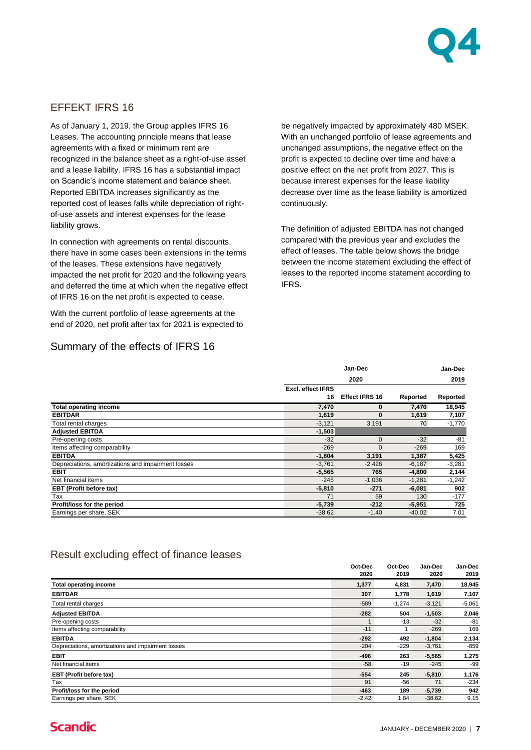

### EFFEKT IFRS 16

As of January 1, 2019, the Group applies IFRS 16 Leases. The accounting principle means that lease agreements with a fixed or minimum rent are recognized in the balance sheet as a right-of-use asset and a lease liability. IFRS 16 has a substantial impact on Scandic's income statement and balance sheet. Reported EBITDA increases significantly as the reported cost of leases falls while depreciation of rightof-use assets and interest expenses for the lease liability grows.

In connection with agreements on rental discounts, there have in some cases been extensions in the terms of the leases. These extensions have negatively impacted the net profit for 2020 and the following years and deferred the time at which when the negative effect of IFRS 16 on the net profit is expected to cease.

With the current portfolio of lease agreements at the end of 2020, net profit after tax for 2021 is expected to

### Summary of the effects of IFRS 16

be negatively impacted by approximately 480 MSEK. With an unchanged portfolio of lease agreements and unchanged assumptions, the negative effect on the profit is expected to decline over time and have a positive effect on the net profit from 2027. This is because interest expenses for the lease liability decrease over time as the lease liability is amortized continuously.

The definition of adjusted EBITDA has not changed compared with the previous year and excludes the effect of leases. The table below shows the bridge between the income statement excluding the effect of leases to the reported income statement according to IFRS.

|                                                    |                          | Jan-Dec               |          |          |  |
|----------------------------------------------------|--------------------------|-----------------------|----------|----------|--|
|                                                    |                          | 2020                  |          |          |  |
|                                                    | <b>Excl. effect IFRS</b> |                       |          |          |  |
|                                                    | 16                       | <b>Effect IFRS 16</b> | Reported | Reported |  |
| <b>Total operating income</b>                      | 7,470                    | 0                     | 7,470    | 18,945   |  |
| <b>EBITDAR</b>                                     | 1,619                    | 0                     | 1,619    | 7,107    |  |
| Total rental charges                               | $-3,121$                 | 3,191                 | 70       | $-1,770$ |  |
| <b>Adjusted EBITDA</b>                             | $-1,503$                 |                       |          |          |  |
| Pre-opening costs                                  | $-32$                    | $\mathbf 0$           | $-32$    | -81      |  |
| Items affecting comparability                      | $-269$                   | 0                     | $-269$   | 169      |  |
| <b>EBITDA</b>                                      | $-1,804$                 | 3,191                 | 1,387    | 5,425    |  |
| Depreciations, amortizations and impairment losses | $-3,761$                 | $-2,426$              | -6,187   | $-3,281$ |  |
| <b>EBIT</b>                                        | $-5,565$                 | 765                   | -4,800   | 2,144    |  |
| Net financial items                                | $-245$                   | $-1,036$              | -1,281   | $-1,242$ |  |
| EBT (Profit before tax)                            | $-5,810$                 | $-271$                | $-6,081$ | 902      |  |
| Tax                                                | 71                       | 59                    | 130      | $-177$   |  |
| Profit/loss for the period                         | $-5,739$                 | $-212$                | $-5,951$ | 725      |  |
| Earnings per share, SEK                            | $-38.62$                 | $-1.40$               | $-40.02$ | 7.01     |  |

### Result excluding effect of finance leases

|                                                    | Oct-Dec | Oct-Dec  | Jan-Dec  | Jan-Dec  |
|----------------------------------------------------|---------|----------|----------|----------|
|                                                    | 2020    | 2019     | 2020     | 2019     |
| <b>Total operating income</b>                      | 1,377   | 4,831    | 7,470    | 18,945   |
| <b>EBITDAR</b>                                     | 307     | 1,778    | 1,619    | 7,107    |
| Total rental charges                               | $-589$  | $-1,274$ | $-3,121$ | $-5,061$ |
| <b>Adjusted EBITDA</b>                             | $-282$  | 504      | $-1,503$ | 2,046    |
| Pre-opening costs                                  |         | $-13$    | $-32$    | $-81$    |
| Items affecting comparability                      | $-11$   |          | $-269$   | 169      |
| <b>EBITDA</b>                                      | $-292$  | 492      | $-1,804$ | 2,134    |
| Depreciations, amortizations and impairment losses | $-204$  | $-229$   | $-3,761$ | $-859$   |
| <b>EBIT</b>                                        | $-496$  | 263      | $-5,565$ | 1,275    |
| Net financial items                                | $-58$   | $-19$    | $-245$   | -99      |
| EBT (Profit before tax)                            | $-554$  | 245      | $-5,810$ | 1,176    |
| Tax                                                | 91      | $-56$    | 71       | $-234$   |
| Profit/loss for the period                         | -463    | 189      | $-5,739$ | 942      |
| Earnings per share, SEK                            | $-2.42$ | 1.84     | $-38.62$ | 9.15     |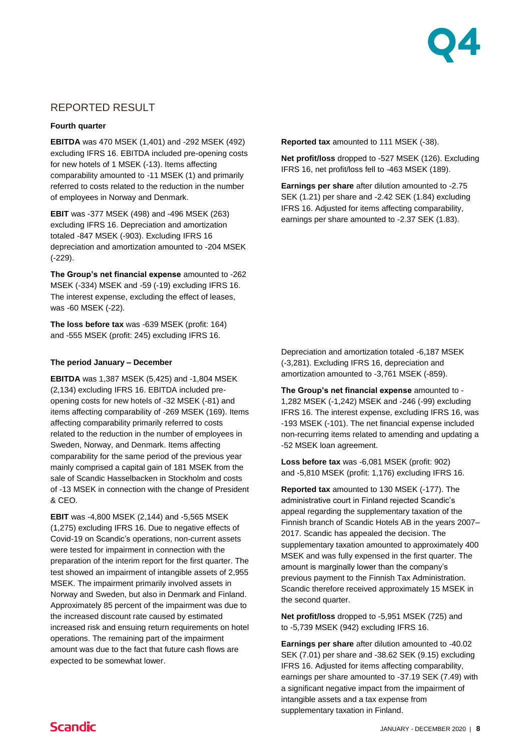

## REPORTED RESULT

### **Fourth quarter**

**EBITDA** was 470 MSEK (1,401) and -292 MSEK (492) excluding IFRS 16. EBITDA included pre-opening costs for new hotels of 1 MSEK (-13). Items affecting comparability amounted to -11 MSEK (1) and primarily referred to costs related to the reduction in the number of employees in Norway and Denmark.

**EBIT** was -377 MSEK (498) and -496 MSEK (263) excluding IFRS 16. Depreciation and amortization totaled -847 MSEK (-903). Excluding IFRS 16 depreciation and amortization amounted to -204 MSEK (-229).

**The Group's net financial expense** amounted to -262 MSEK (-334) MSEK and -59 (-19) excluding IFRS 16. The interest expense, excluding the effect of leases, was -60 MSEK (-22).

**The loss before tax** was -639 MSEK (profit: 164) and -555 MSEK (profit: 245) excluding IFRS 16.

### **The period January – December**

**EBITDA** was 1,387 MSEK (5,425) and -1,804 MSEK (2,134) excluding IFRS 16. EBITDA included preopening costs for new hotels of -32 MSEK (-81) and items affecting comparability of -269 MSEK (169). Items affecting comparability primarily referred to costs related to the reduction in the number of employees in Sweden, Norway, and Denmark. Items affecting comparability for the same period of the previous year mainly comprised a capital gain of 181 MSEK from the sale of Scandic Hasselbacken in Stockholm and costs of -13 MSEK in connection with the change of President & CEO.

**EBIT** was -4,800 MSEK (2,144) and -5,565 MSEK (1,275) excluding IFRS 16. Due to negative effects of Covid-19 on Scandic's operations, non-current assets were tested for impairment in connection with the preparation of the interim report for the first quarter. The test showed an impairment of intangible assets of 2,955 MSEK. The impairment primarily involved assets in Norway and Sweden, but also in Denmark and Finland. Approximately 85 percent of the impairment was due to the increased discount rate caused by estimated increased risk and ensuing return requirements on hotel operations. The remaining part of the impairment amount was due to the fact that future cash flows are expected to be somewhat lower.

**Reported tax** amounted to 111 MSEK (-38).

**Net profit/loss** dropped to -527 MSEK (126). Excluding IFRS 16, net profit/loss fell to -463 MSEK (189).

**Earnings per share** after dilution amounted to -2.75 SEK (1.21) per share and -2.42 SEK (1.84) excluding IFRS 16. Adjusted for items affecting comparability, earnings per share amounted to -2.37 SEK (1.83).

Depreciation and amortization totaled -6,187 MSEK (-3,281). Excluding IFRS 16, depreciation and amortization amounted to -3,761 MSEK (-859).

**The Group's net financial expense** amounted to - 1,282 MSEK (-1,242) MSEK and -246 (-99) excluding IFRS 16. The interest expense, excluding IFRS 16, was -193 MSEK (-101). The net financial expense included non-recurring items related to amending and updating a -52 MSEK loan agreement.

**Loss before tax** was -6,081 MSEK (profit: 902) and -5,810 MSEK (profit: 1,176) excluding IFRS 16.

**Reported tax** amounted to 130 MSEK (-177). The administrative court in Finland rejected Scandic's appeal regarding the supplementary taxation of the Finnish branch of Scandic Hotels AB in the years 2007– 2017. Scandic has appealed the decision. The supplementary taxation amounted to approximately 400 MSEK and was fully expensed in the first quarter. The amount is marginally lower than the company's previous payment to the Finnish Tax Administration. Scandic therefore received approximately 15 MSEK in the second quarter.

**Net profit/loss** dropped to -5,951 MSEK (725) and to -5,739 MSEK (942) excluding IFRS 16.

**Earnings per share** after dilution amounted to -40.02 SEK (7.01) per share and -38.62 SEK (9.15) excluding IFRS 16. Adjusted for items affecting comparability, earnings per share amounted to -37.19 SEK (7.49) with a significant negative impact from the impairment of intangible assets and a tax expense from supplementary taxation in Finland.

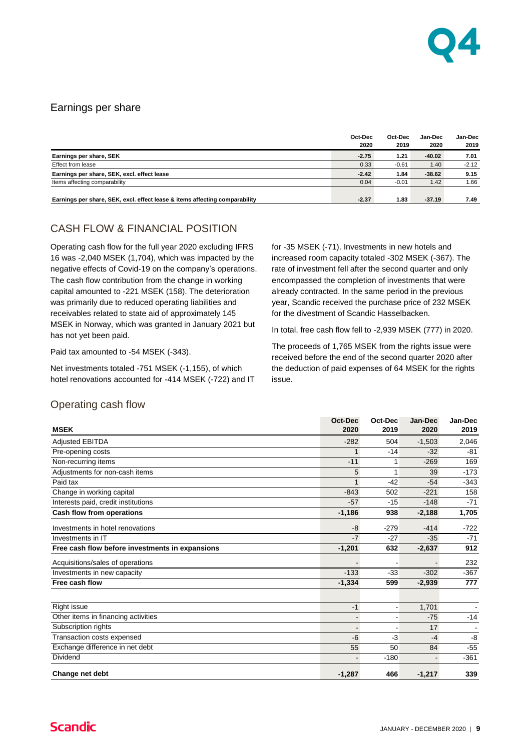

### Earnings per share

|                                                                             | Oct-Dec<br>2020 | Oct-Dec<br>2019 | Jan-Dec<br>2020 | Jan-Dec<br>2019 |
|-----------------------------------------------------------------------------|-----------------|-----------------|-----------------|-----------------|
| Earnings per share, SEK                                                     | $-2.75$         | 1.21            | $-40.02$        | 7.01            |
| Effect from lease                                                           | 0.33            | $-0.61$         | 1.40            | $-2.12$         |
| Earnings per share, SEK, excl. effect lease                                 | $-2.42$         | 1.84            | $-38.62$        | 9.15            |
| Items affecting comparability                                               | 0.04            | $-0.01$         | 1.42            | 1.66            |
|                                                                             |                 |                 |                 |                 |
| Earnings per share, SEK, excl. effect lease & items affecting comparability | $-2.37$         | 1.83            | $-37.19$        | 7.49            |

## CASH FLOW & FINANCIAL POSITION

Operating cash flow for the full year 2020 excluding IFRS 16 was -2,040 MSEK (1,704), which was impacted by the negative effects of Covid-19 on the company's operations. The cash flow contribution from the change in working capital amounted to -221 MSEK (158). The deterioration was primarily due to reduced operating liabilities and receivables related to state aid of approximately 145 MSEK in Norway, which was granted in January 2021 but has not yet been paid.

Paid tax amounted to -54 MSEK (-343).

Net investments totaled -751 MSEK (-1,155), of which hotel renovations accounted for -414 MSEK (-722) and IT for -35 MSEK (-71). Investments in new hotels and increased room capacity totaled -302 MSEK (-367). The rate of investment fell after the second quarter and only encompassed the completion of investments that were already contracted. In the same period in the previous year, Scandic received the purchase price of 232 MSEK for the divestment of Scandic Hasselbacken.

In total, free cash flow fell to -2,939 MSEK (777) in 2020.

The proceeds of 1,765 MSEK from the rights issue were received before the end of the second quarter 2020 after the deduction of paid expenses of 64 MSEK for the rights issue.

### Operating cash flow

| <b>MSEK</b>                                     | Oct-Dec<br>2020 | Oct-Dec<br>2019              | Jan-Dec<br>2020 | Jan-Dec<br>2019 |
|-------------------------------------------------|-----------------|------------------------------|-----------------|-----------------|
| <b>Adjusted EBITDA</b>                          | $-282$          | 504                          | $-1,503$        | 2,046           |
| Pre-opening costs                               | $\mathbf 1$     | $-14$                        | $-32$           | $-81$           |
| Non-recurring items                             | $-11$           | 1                            | $-269$          | 169             |
| Adjustments for non-cash items                  | 5               | 1                            | 39              | $-173$          |
| Paid tax                                        |                 | $-42$                        | $-54$           | $-343$          |
| Change in working capital                       | $-843$          | 502                          | $-221$          | 158             |
| Interests paid, credit institutions             | $-57$           | $-15$                        | $-148$          | $-71$           |
| Cash flow from operations                       | $-1,186$        | 938                          | $-2,188$        | 1,705           |
| Investments in hotel renovations                | -8              | $-279$                       | $-414$          | $-722$          |
| Investments in IT                               | $-7$            | $-27$                        | $-35$           | $-71$           |
| Free cash flow before investments in expansions | $-1,201$        | 632                          | $-2,637$        | 912             |
| Acquisitions/sales of operations                |                 |                              |                 | 232             |
| Investments in new capacity                     | $-133$          | $-33$                        | $-302$          | $-367$          |
| Free cash flow                                  | $-1,334$        | 599                          | $-2,939$        | 777             |
|                                                 |                 |                              |                 |                 |
| Right issue                                     | $-1$            | $\qquad \qquad \blacksquare$ | 1,701           |                 |
| Other items in financing activities             |                 | $\blacksquare$               | $-75$           | $-14$           |
| Subscription rights                             |                 |                              | 17              |                 |
| Transaction costs expensed                      | $-6$            | $-3$                         | $-4$            | -8              |
| Exchange difference in net debt                 | 55              | 50                           | 84              | $-55$           |
| Dividend                                        |                 | $-180$                       |                 | $-361$          |
| Change net debt                                 | $-1,287$        | 466                          | $-1,217$        | 339             |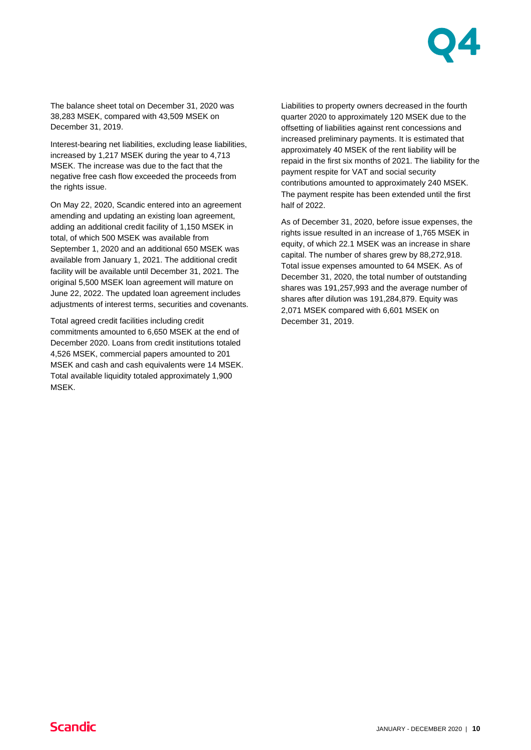

The balance sheet total on December 31, 2020 was 38,283 MSEK, compared with 43,509 MSEK on December 31, 2019.

Interest-bearing net liabilities, excluding lease liabilities, increased by 1,217 MSEK during the year to 4,713 MSEK. The increase was due to the fact that the negative free cash flow exceeded the proceeds from the rights issue.

On May 22, 2020, Scandic entered into an agreement amending and updating an existing loan agreement, adding an additional credit facility of 1,150 MSEK in total, of which 500 MSEK was available from September 1, 2020 and an additional 650 MSEK was available from January 1, 2021. The additional credit facility will be available until December 31, 2021. The original 5,500 MSEK loan agreement will mature on June 22, 2022. The updated loan agreement includes adjustments of interest terms, securities and covenants.

Total agreed credit facilities including credit commitments amounted to 6,650 MSEK at the end of December 2020. Loans from credit institutions totaled 4,526 MSEK, commercial papers amounted to 201 MSEK and cash and cash equivalents were 14 MSEK. Total available liquidity totaled approximately 1,900 MSEK.

Liabilities to property owners decreased in the fourth quarter 2020 to approximately 120 MSEK due to the offsetting of liabilities against rent concessions and increased preliminary payments. It is estimated that approximately 40 MSEK of the rent liability will be repaid in the first six months of 2021. The liability for the payment respite for VAT and social security contributions amounted to approximately 240 MSEK. The payment respite has been extended until the first half of 2022.

As of December 31, 2020, before issue expenses, the rights issue resulted in an increase of 1,765 MSEK in equity, of which 22.1 MSEK was an increase in share capital. The number of shares grew by 88,272,918. Total issue expenses amounted to 64 MSEK. As of December 31, 2020, the total number of outstanding shares was 191,257,993 and the average number of shares after dilution was 191,284,879. Equity was 2,071 MSEK compared with 6,601 MSEK on December 31, 2019.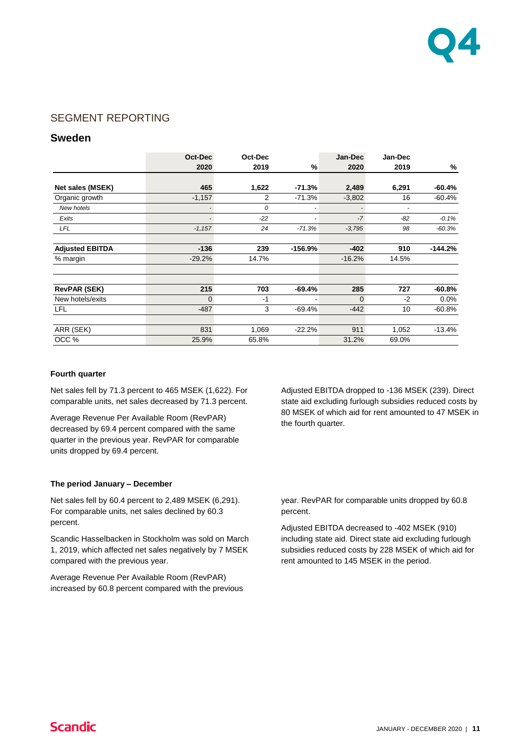

### SEGMENT REPORTING

### **Sweden**

|                        | Oct-Dec  | Oct-Dec |           | Jan-Dec  | Jan-Dec |           |
|------------------------|----------|---------|-----------|----------|---------|-----------|
|                        | 2020     | 2019    | %         | 2020     | 2019    | %         |
|                        |          |         |           |          |         |           |
| Net sales (MSEK)       | 465      | 1,622   | $-71.3%$  | 2,489    | 6,291   | $-60.4%$  |
| Organic growth         | $-1,157$ | 2       | $-71.3%$  | $-3,802$ | 16      | $-60.4%$  |
| New hotels             |          | 0       | ٠         |          |         |           |
| Exits                  |          | $-22$   |           | $-7$     | -82     | $-0.1%$   |
| LFL                    | $-1,157$ | 24      | $-71.3%$  | $-3,795$ | 98      | $-60.3%$  |
| <b>Adjusted EBITDA</b> | $-136$   | 239     | $-156.9%$ | $-402$   | 910     | $-144.2%$ |
| % margin               | $-29.2%$ | 14.7%   |           | $-16.2%$ | 14.5%   |           |
|                        |          |         |           |          |         |           |
| <b>RevPAR (SEK)</b>    | 215      | 703     | $-69.4%$  | 285      | 727     | $-60.8%$  |
| New hotels/exits       | $\Omega$ | $-1$    |           | $\Omega$ | $-2$    | $0.0\%$   |
| <b>LFL</b>             | $-487$   | 3       | $-69.4%$  | $-442$   | 10      | $-60.8%$  |
|                        |          |         |           |          |         |           |
| ARR (SEK)              | 831      | 1,069   | $-22.2%$  | 911      | 1,052   | $-13.4%$  |
| OCC %                  | 25.9%    | 65.8%   |           | 31.2%    | 69.0%   |           |

#### **Fourth quarter**

Net sales fell by 71.3 percent to 465 MSEK (1,622). For comparable units, net sales decreased by 71.3 percent.

Average Revenue Per Available Room (RevPAR) decreased by 69.4 percent compared with the same quarter in the previous year. RevPAR for comparable units dropped by 69.4 percent.

#### **The period January – December**

Net sales fell by 60.4 percent to 2,489 MSEK (6,291). For comparable units, net sales declined by 60.3 percent.

Scandic Hasselbacken in Stockholm was sold on March 1, 2019, which affected net sales negatively by 7 MSEK compared with the previous year.

Average Revenue Per Available Room (RevPAR) increased by 60.8 percent compared with the previous Adjusted EBITDA dropped to -136 MSEK (239). Direct state aid excluding furlough subsidies reduced costs by 80 MSEK of which aid for rent amounted to 47 MSEK in the fourth quarter.

year. RevPAR for comparable units dropped by 60.8 percent.

Adjusted EBITDA decreased to -402 MSEK (910) including state aid. Direct state aid excluding furlough subsidies reduced costs by 228 MSEK of which aid for rent amounted to 145 MSEK in the period.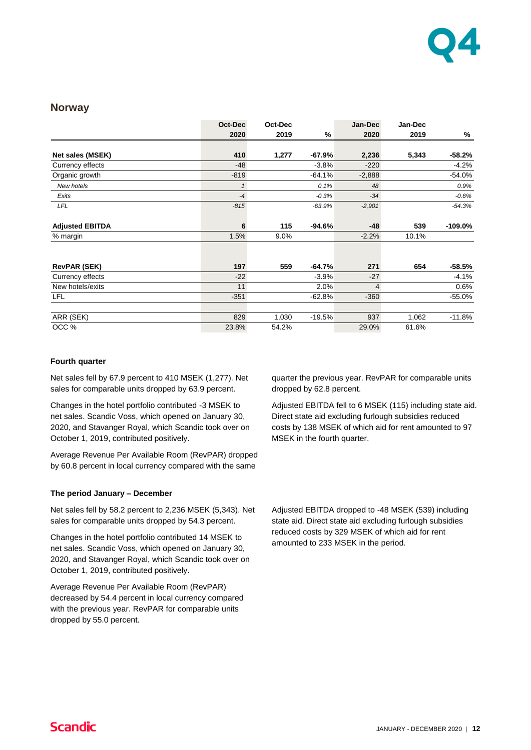

### **Norway**

|                        | Oct-Dec      | Oct-Dec |          | Jan-Dec        | Jan-Dec |            |
|------------------------|--------------|---------|----------|----------------|---------|------------|
|                        | 2020         | 2019    | %        | 2020           | 2019    | %          |
|                        |              |         |          |                |         |            |
| Net sales (MSEK)       | 410          | 1,277   | $-67.9%$ | 2,236          | 5,343   | $-58.2%$   |
| Currency effects       | $-48$        |         | $-3.8%$  | $-220$         |         | $-4.2%$    |
| Organic growth         | $-819$       |         | $-64.1%$ | $-2,888$       |         | $-54.0%$   |
| New hotels             | $\mathbf{1}$ |         | 0.1%     | 48             |         | 0.9%       |
| Exits                  | $-4$         |         | $-0.3%$  | $-34$          |         | $-0.6%$    |
| LFL                    | $-815$       |         | $-63.9%$ | $-2,901$       |         | $-54.3%$   |
| <b>Adjusted EBITDA</b> | 6            | 115     | $-94.6%$ | $-48$          | 539     | $-109.0\%$ |
| % margin               | 1.5%         | $9.0\%$ |          | $-2.2%$        | 10.1%   |            |
|                        |              |         |          |                |         |            |
| <b>RevPAR (SEK)</b>    | 197          | 559     | $-64.7%$ | 271            | 654     | $-58.5%$   |
| Currency effects       | $-22$        |         | $-3.9%$  | $-27$          |         | $-4.1%$    |
| New hotels/exits       | 11           |         | 2.0%     | $\overline{4}$ |         | 0.6%       |
| <b>LFL</b>             | $-351$       |         | $-62.8%$ | $-360$         |         | $-55.0%$   |
|                        |              |         |          |                |         |            |
| ARR (SEK)              | 829          | 1,030   | $-19.5%$ | 937            | 1,062   | $-11.8%$   |
| OCC %                  | 23.8%        | 54.2%   |          | 29.0%          | 61.6%   |            |

#### **Fourth quarter**

Net sales fell by 67.9 percent to 410 MSEK (1,277). Net sales for comparable units dropped by 63.9 percent.

Changes in the hotel portfolio contributed -3 MSEK to net sales. Scandic Voss, which opened on January 30, 2020, and Stavanger Royal, which Scandic took over on October 1, 2019, contributed positively.

Average Revenue Per Available Room (RevPAR) dropped by 60.8 percent in local currency compared with the same

#### **The period January – December**

Net sales fell by 58.2 percent to 2,236 MSEK (5,343). Net sales for comparable units dropped by 54.3 percent.

Changes in the hotel portfolio contributed 14 MSEK to net sales. Scandic Voss, which opened on January 30, 2020, and Stavanger Royal, which Scandic took over on October 1, 2019, contributed positively.

Average Revenue Per Available Room (RevPAR) decreased by 54.4 percent in local currency compared with the previous year. RevPAR for comparable units dropped by 55.0 percent.

quarter the previous year. RevPAR for comparable units dropped by 62.8 percent.

Adjusted EBITDA fell to 6 MSEK (115) including state aid. Direct state aid excluding furlough subsidies reduced costs by 138 MSEK of which aid for rent amounted to 97 MSEK in the fourth quarter.

Adjusted EBITDA dropped to -48 MSEK (539) including state aid. Direct state aid excluding furlough subsidies reduced costs by 329 MSEK of which aid for rent amounted to 233 MSEK in the period.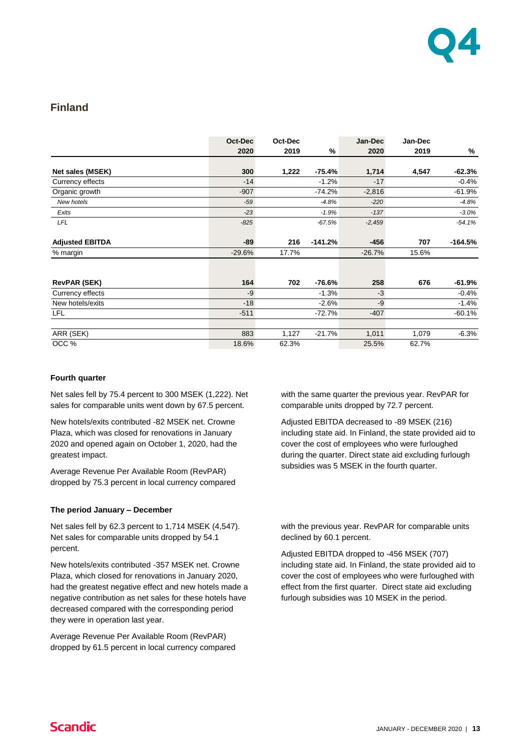

### **Finland**

|                        | Oct-Dec  | Oct-Dec |           | Jan-Dec  | Jan-Dec |           |
|------------------------|----------|---------|-----------|----------|---------|-----------|
|                        | 2020     | 2019    | %         | 2020     | 2019    | %         |
|                        |          |         |           |          |         |           |
| Net sales (MSEK)       | 300      | 1,222   | -75.4%    | 1,714    | 4,547   | $-62.3%$  |
| Currency effects       | $-14$    |         | $-1.2%$   | $-17$    |         | $-0.4%$   |
| Organic growth         | $-907$   |         | $-74.2%$  | $-2,816$ |         | $-61.9%$  |
| New hotels             | $-59$    |         | $-4.8%$   | $-220$   |         | $-4.8%$   |
| Exits                  | $-23$    |         | $-1.9%$   | $-137$   |         | $-3.0%$   |
| <b>LFL</b>             | $-825$   |         | $-67.5%$  | $-2,459$ |         | $-54.1%$  |
| <b>Adjusted EBITDA</b> | $-89$    | 216     | $-141.2%$ | $-456$   | 707     | $-164.5%$ |
| % margin               | $-29.6%$ | 17.7%   |           | $-26.7%$ | 15.6%   |           |
|                        |          |         |           |          |         |           |
| <b>RevPAR (SEK)</b>    | 164      | 702     | $-76.6%$  | 258      | 676     | $-61.9%$  |
| Currency effects       | -9       |         | $-1.3%$   | $-3$     |         | $-0.4%$   |
| New hotels/exits       | $-18$    |         | $-2.6%$   | -9       |         | $-1.4%$   |
| LFL                    | $-511$   |         | $-72.7%$  | $-407$   |         | $-60.1%$  |
|                        |          |         |           |          |         |           |
| ARR (SEK)              | 883      | 1,127   | $-21.7%$  | 1,011    | 1,079   | $-6.3%$   |
| OCC %                  | 18.6%    | 62.3%   |           | 25.5%    | 62.7%   |           |

### **Fourth quarter**

Net sales fell by 75.4 percent to 300 MSEK (1,222). Net sales for comparable units went down by 67.5 percent.

New hotels/exits contributed -82 MSEK net. Crowne Plaza, which was closed for renovations in January 2020 and opened again on October 1, 2020, had the greatest impact.

Average Revenue Per Available Room (RevPAR) dropped by 75.3 percent in local currency compared

#### **The period January – December**

Net sales fell by 62.3 percent to 1,714 MSEK (4,547). Net sales for comparable units dropped by 54.1 percent.

New hotels/exits contributed -357 MSEK net. Crowne Plaza, which closed for renovations in January 2020, had the greatest negative effect and new hotels made a negative contribution as net sales for these hotels have decreased compared with the corresponding period they were in operation last year.

Average Revenue Per Available Room (RevPAR) dropped by 61.5 percent in local currency compared with the same quarter the previous year. RevPAR for comparable units dropped by 72.7 percent.

Adjusted EBITDA decreased to -89 MSEK (216) including state aid. In Finland, the state provided aid to cover the cost of employees who were furloughed during the quarter. Direct state aid excluding furlough subsidies was 5 MSEK in the fourth quarter.

with the previous year. RevPAR for comparable units declined by 60.1 percent.

Adjusted EBITDA dropped to -456 MSEK (707) including state aid. In Finland, the state provided aid to cover the cost of employees who were furloughed with effect from the first quarter. Direct state aid excluding furlough subsidies was 10 MSEK in the period.

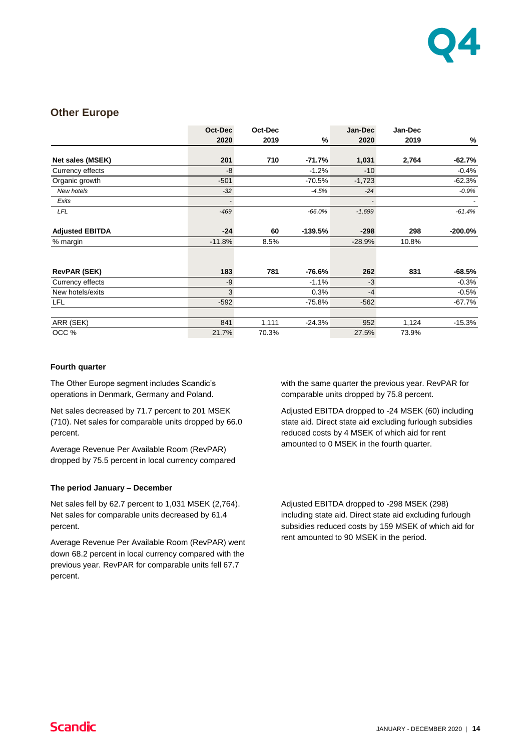

### **Other Europe**

|                        | Oct-Dec  | Oct-Dec |           | Jan-Dec  | Jan-Dec |            |
|------------------------|----------|---------|-----------|----------|---------|------------|
|                        | 2020     | 2019    | %         | 2020     | 2019    | %          |
|                        |          |         |           |          |         |            |
| Net sales (MSEK)       | 201      | 710     | $-71.7%$  | 1,031    | 2,764   | $-62.7%$   |
| Currency effects       | -8       |         | $-1.2%$   | $-10$    |         | $-0.4%$    |
| Organic growth         | $-501$   |         | $-70.5%$  | $-1,723$ |         | $-62.3%$   |
| New hotels             | $-32$    |         | $-4.5%$   | $-24$    |         | $-0.9%$    |
| Exits                  |          |         |           |          |         |            |
| LFL                    | $-469$   |         | $-66.0%$  | $-1,699$ |         | $-61.4%$   |
| <b>Adjusted EBITDA</b> | $-24$    | 60      | $-139.5%$ | $-298$   | 298     | $-200.0\%$ |
| % margin               | $-11.8%$ | 8.5%    |           | $-28.9%$ | 10.8%   |            |
|                        |          |         |           |          |         |            |
| <b>RevPAR (SEK)</b>    | 183      | 781     | -76.6%    | 262      | 831     | $-68.5%$   |
| Currency effects       | -9       |         | $-1.1%$   | $-3$     |         | $-0.3%$    |
| New hotels/exits       | 3        |         | 0.3%      | $-4$     |         | $-0.5%$    |
| LFL                    | $-592$   |         | $-75.8%$  | $-562$   |         | -67.7%     |
| ARR (SEK)              | 841      | 1,111   | $-24.3%$  | 952      | 1,124   | $-15.3%$   |
| OCC %                  | 21.7%    | 70.3%   |           | 27.5%    | 73.9%   |            |

### **Fourth quarter**

The Other Europe segment includes Scandic's operations in Denmark, Germany and Poland.

Net sales decreased by 71.7 percent to 201 MSEK (710). Net sales for comparable units dropped by 66.0 percent.

Average Revenue Per Available Room (RevPAR) dropped by 75.5 percent in local currency compared

### **The period January – December**

Net sales fell by 62.7 percent to 1,031 MSEK (2,764). Net sales for comparable units decreased by 61.4 percent.

Average Revenue Per Available Room (RevPAR) went down 68.2 percent in local currency compared with the previous year. RevPAR for comparable units fell 67.7 percent.

with the same quarter the previous year. RevPAR for comparable units dropped by 75.8 percent.

Adjusted EBITDA dropped to -24 MSEK (60) including state aid. Direct state aid excluding furlough subsidies reduced costs by 4 MSEK of which aid for rent amounted to 0 MSEK in the fourth quarter.

Adjusted EBITDA dropped to -298 MSEK (298) including state aid. Direct state aid excluding furlough subsidies reduced costs by 159 MSEK of which aid for rent amounted to 90 MSEK in the period.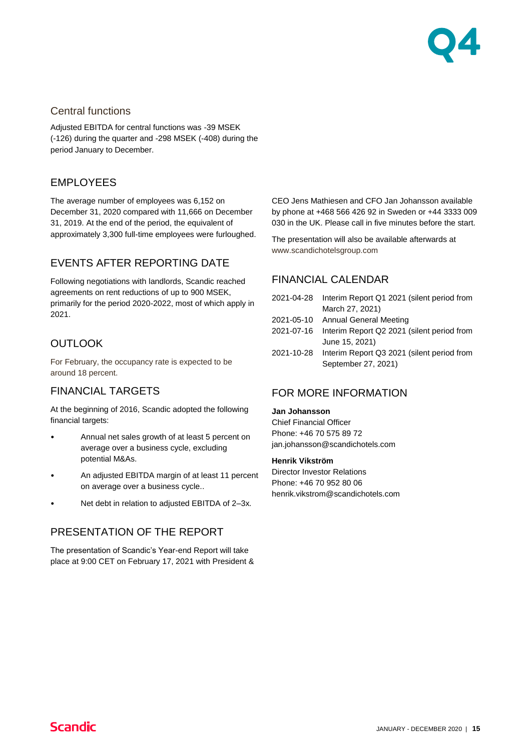

### Central functions

Adjusted EBITDA for central functions was -39 MSEK (-126) during the quarter and -298 MSEK (-408) during the period January to December.

## EMPLOYEES

The average number of employees was 6,152 on December 31, 2020 compared with 11,666 on December 31, 2019. At the end of the period, the equivalent of approximately 3,300 full-time employees were furloughed.

## EVENTS AFTER REPORTING DATE

Following negotiations with landlords, Scandic reached agreements on rent reductions of up to 900 MSEK, primarily for the period 2020-2022, most of which apply in 2021.

## **OUTLOOK**

For February, the occupancy rate is expected to be around 18 percent.

### FINANCIAL TARGETS

At the beginning of 2016, Scandic adopted the following financial targets:

- Annual net sales growth of at least 5 percent on average over a business cycle, excluding potential M&As.
- An adjusted EBITDA margin of at least 11 percent on average over a business cycle..
- Net debt in relation to adjusted EBITDA of 2-3x.

### PRESENTATION OF THE REPORT

The presentation of Scandic's Year-end Report will take place at 9:00 CET on February 17, 2021 with President & CEO Jens Mathiesen and CFO Jan Johansson available by phone at +468 566 426 92 in Sweden or +44 3333 009 030 in the UK. Please call in five minutes before the start.

The presentation will also be available afterwards at [www.scandichotelsgroup.com](http://www.scandichotelsgroup.com/)

### FINANCIAL CALENDAR

| 2021-04-28 | Interim Report Q1 2021 (silent period from |
|------------|--------------------------------------------|
|            | March 27, 2021)                            |
|            | 2021-05-10 Annual General Meeting          |
| 2021-07-16 | Interim Report Q2 2021 (silent period from |
|            | June 15, 2021)                             |
| 2021-10-28 | Interim Report Q3 2021 (silent period from |
|            | September 27, 2021)                        |

### FOR MORE INFORMATION

### **Jan Johansson**

Chief Financial Officer Phone: +46 70 575 89 72 [jan.johansson@scandichotels.com](mailto:gunilla.rudebjer@scandichotels.com)

#### **Henrik Vikström**

Director Investor Relations Phone: +46 70 952 80 06 [henrik.vikstrom@scandichotels.com](mailto:henrik.vikstrom@scandichotels.com)

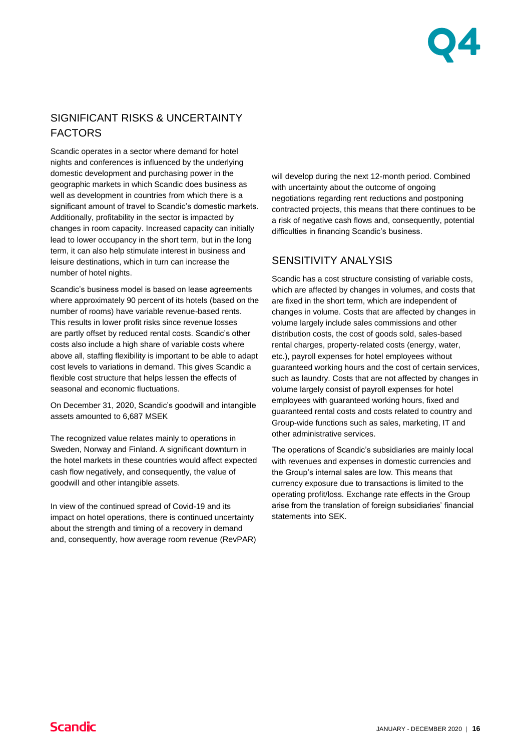

## SIGNIFICANT RISKS & UNCERTAINTY FACTORS

Scandic operates in a sector where demand for hotel nights and conferences is influenced by the underlying domestic development and purchasing power in the geographic markets in which Scandic does business as well as development in countries from which there is a significant amount of travel to Scandic's domestic markets. Additionally, profitability in the sector is impacted by changes in room capacity. Increased capacity can initially lead to lower occupancy in the short term, but in the long term, it can also help stimulate interest in business and leisure destinations, which in turn can increase the number of hotel nights.

Scandic's business model is based on lease agreements where approximately 90 percent of its hotels (based on the number of rooms) have variable revenue-based rents. This results in lower profit risks since revenue losses are partly offset by reduced rental costs. Scandic's other costs also include a high share of variable costs where above all, staffing flexibility is important to be able to adapt cost levels to variations in demand. This gives Scandic a flexible cost structure that helps lessen the effects of seasonal and economic fluctuations.

On December 31, 2020, Scandic's goodwill and intangible assets amounted to 6,687 MSEK

The recognized value relates mainly to operations in Sweden, Norway and Finland. A significant downturn in the hotel markets in these countries would affect expected cash flow negatively, and consequently, the value of goodwill and other intangible assets.

In view of the continued spread of Covid-19 and its impact on hotel operations, there is continued uncertainty about the strength and timing of a recovery in demand and, consequently, how average room revenue (RevPAR) will develop during the next 12-month period. Combined with uncertainty about the outcome of ongoing negotiations regarding rent reductions and postponing contracted projects, this means that there continues to be a risk of negative cash flows and, consequently, potential difficulties in financing Scandic's business.

## SENSITIVITY ANALYSIS

Scandic has a cost structure consisting of variable costs, which are affected by changes in volumes, and costs that are fixed in the short term, which are independent of changes in volume. Costs that are affected by changes in volume largely include sales commissions and other distribution costs, the cost of goods sold, sales-based rental charges, property-related costs (energy, water, etc.), payroll expenses for hotel employees without guaranteed working hours and the cost of certain services, such as laundry. Costs that are not affected by changes in volume largely consist of payroll expenses for hotel employees with guaranteed working hours, fixed and guaranteed rental costs and costs related to country and Group-wide functions such as sales, marketing, IT and other administrative services.

The operations of Scandic's subsidiaries are mainly local with revenues and expenses in domestic currencies and the Group's internal sales are low. This means that currency exposure due to transactions is limited to the operating profit/loss. Exchange rate effects in the Group arise from the translation of foreign subsidiaries' financial statements into SEK.

**Scandic**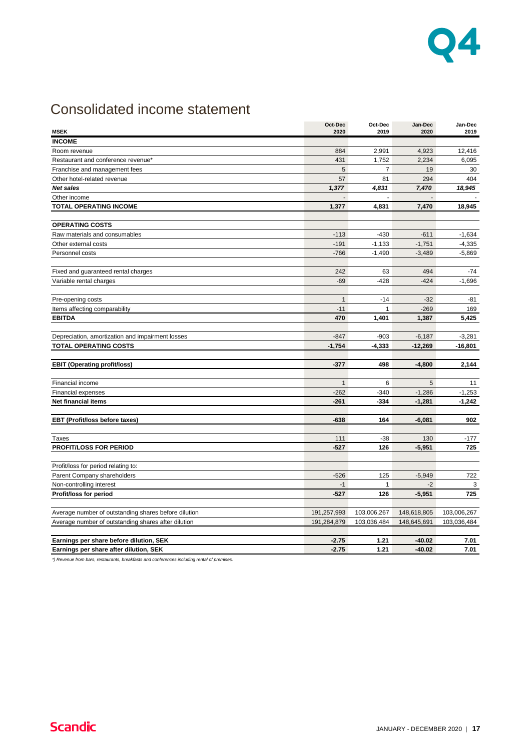

## Consolidated income statement

|                                                      | Oct-Dec      | Oct-Dec        | Jan-Dec        | Jan-Dec     |
|------------------------------------------------------|--------------|----------------|----------------|-------------|
| <b>MSEK</b>                                          | 2020         | 2019           | 2020           | 2019        |
| <b>INCOME</b>                                        |              |                |                |             |
| Room revenue                                         | 884          | 2,991          | 4,923          | 12,416      |
| Restaurant and conference revenue*                   | 431          | 1,752          | 2,234          | 6,095       |
| Franchise and management fees                        | 5            | $\overline{7}$ | 19             | 30          |
| Other hotel-related revenue                          | 57           | 81             | 294            | 404         |
| Net sales                                            | 1,377        | 4,831          | 7,470          | 18,945      |
| Other income                                         |              |                | $\overline{a}$ |             |
| <b>TOTAL OPERATING INCOME</b>                        | 1,377        | 4,831          | 7,470          | 18,945      |
| <b>OPERATING COSTS</b>                               |              |                |                |             |
| Raw materials and consumables                        | $-113$       | $-430$         | $-611$         | $-1,634$    |
| Other external costs                                 | $-191$       | $-1,133$       | $-1,751$       | $-4,335$    |
| Personnel costs                                      | $-766$       | $-1,490$       | $-3,489$       | $-5,869$    |
|                                                      |              |                |                |             |
| Fixed and guaranteed rental charges                  | 242          | 63             | 494            | -74         |
| Variable rental charges                              | $-69$        | $-428$         | $-424$         | $-1,696$    |
| Pre-opening costs                                    | $\mathbf{1}$ | $-14$          | $-32$          | -81         |
| Items affecting comparability                        | $-11$        | $\mathbf{1}$   | $-269$         | 169         |
| <b>EBITDA</b>                                        | 470          | 1,401          | 1,387          | 5,425       |
|                                                      |              |                |                |             |
| Depreciation, amortization and impairment losses     | $-847$       | $-903$         | $-6,187$       | $-3,281$    |
| <b>TOTAL OPERATING COSTS</b>                         | $-1,754$     | $-4,333$       | $-12,269$      | $-16,801$   |
| <b>EBIT (Operating profit/loss)</b>                  | $-377$       | 498            | $-4,800$       | 2,144       |
|                                                      |              |                |                |             |
| Financial income                                     | $\mathbf{1}$ | 6              | 5              | 11          |
| <b>Financial expenses</b>                            | $-262$       | $-340$         | $-1,286$       | $-1,253$    |
| <b>Net financial items</b>                           | $-261$       | $-334$         | $-1,281$       | $-1,242$    |
| EBT (Profit/loss before taxes)                       | $-638$       | 164            | $-6,081$       | 902         |
|                                                      |              |                |                |             |
| Taxes                                                | 111          | $-38$          | 130            | -177        |
| PROFIT/LOSS FOR PERIOD                               | $-527$       | 126            | $-5,951$       | 725         |
| Profit/loss for period relating to:                  |              |                |                |             |
| Parent Company shareholders                          | $-526$       | 125            | $-5,949$       | 722         |
| Non-controlling interest                             | $-1$         | $\mathbf{1}$   | $-2$           | 3           |
| Profit/loss for period                               | $-527$       | 126            | $-5,951$       | 725         |
|                                                      |              |                |                |             |
| Average number of outstanding shares before dilution | 191,257,993  | 103,006,267    | 148,618,805    | 103,006,267 |
| Average number of outstanding shares after dilution  | 191,284,879  | 103,036,484    | 148,645,691    | 103,036,484 |
| Earnings per share before dilution, SEK              | $-2.75$      | 1.21           | -40.02         | 7.01        |
| Earnings per share after dilution, SEK               | $-2.75$      | 1.21           | $-40.02$       | 7.01        |

*\*) Revenue from bars, restaurants, breakfasts and conferences including rental of premises.*

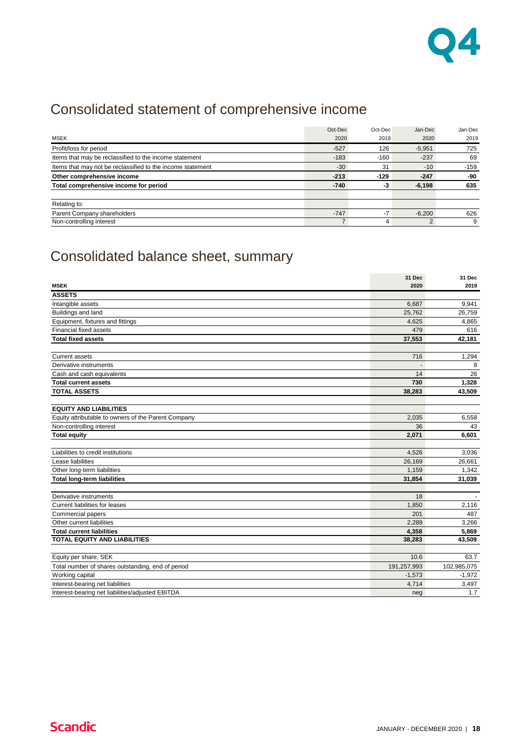

## Consolidated statement of comprehensive income

|                                                            | Oct-Dec | Oct-Dec | Jan-Dec  | Jan-Dec |
|------------------------------------------------------------|---------|---------|----------|---------|
| <b>MSEK</b>                                                | 2020    | 2019    | 2020     | 2019    |
| Profit/loss for period                                     | $-527$  | 126     | $-5,951$ | 725     |
| Items that may be reclassified to the income statement     | $-183$  | $-160$  | $-237$   | 69      |
| Items that may not be reclassified to the income statement | $-30$   | 31      | $-10$    | $-159$  |
| Other comprehensive income                                 | $-213$  | $-129$  | $-247$   | -90     |
| Total comprehensive income for period                      | $-740$  | -3      | $-6,198$ | 635     |
|                                                            |         |         |          |         |
| Relating to:                                               |         |         |          |         |
| Parent Company shareholders                                | $-747$  | $-7$    | $-6,200$ | 626     |
| Non-controlling interest                                   |         | 4       | 2        | 9       |

## Consolidated balance sheet, summary

|                                                     | 31 Dec      | 31 Dec      |
|-----------------------------------------------------|-------------|-------------|
| <b>MSEK</b>                                         | 2020        | 2019        |
| <b>ASSETS</b>                                       |             |             |
| Intangible assets                                   | 6,687       | 9,941       |
| Buildings and land                                  | 25,762      | 26,759      |
| Equipment, fixtures and fittings                    | 4,625       | 4,865       |
| Financial fixed assets                              | 479         | 616         |
| <b>Total fixed assets</b>                           | 37,553      | 42,181      |
|                                                     |             |             |
| <b>Current assets</b>                               | 716         | 1,294       |
| Derivative instruments                              |             | 8           |
| Cash and cash equivalents                           | 14          | 26          |
| <b>Total current assets</b>                         | 730         | 1,328       |
| <b>TOTAL ASSETS</b>                                 | 38,283      | 43,509      |
|                                                     |             |             |
| <b>EQUITY AND LIABILITIES</b>                       |             |             |
| Equity attributable to owners of the Parent Company | 2,035       | 6,558       |
| Non-controlling interest                            | 36          | 43          |
| <b>Total equity</b>                                 | 2,071       | 6,601       |
|                                                     |             |             |
| Liabilities to credit institutions                  | 4,526       | 3,036       |
| Lease liabilities                                   | 26,169      | 26,661      |
| Other long-term liabilities                         | 1,159       | 1,342       |
| <b>Total long-term liabilities</b>                  | 31,854      | 31,039      |
|                                                     |             |             |
| Derivative instruments                              | 18          |             |
| Current liabilities for leases                      | 1,850       | 2,116       |
| Commercial papers                                   | 201         | 487         |
| Other current liabilities                           | 2,289       | 3,266       |
| <b>Total current liabilities</b>                    | 4,358       | 5,869       |
| <b>TOTAL EQUITY AND LIABILITIES</b>                 | 38,283      | 43,509      |
|                                                     |             |             |
| Equity per share, SEK                               | 10.6        | 63.7        |
| Total number of shares outstanding, end of period   | 191,257,993 | 102,985,075 |
| Working capital                                     | $-1,573$    | $-1,972$    |
| Interest-bearing net liabilities                    | 4,714       | 3,497       |
| Interest-bearing net liabilities/adjusted EBITDA    | neg         | 1.7         |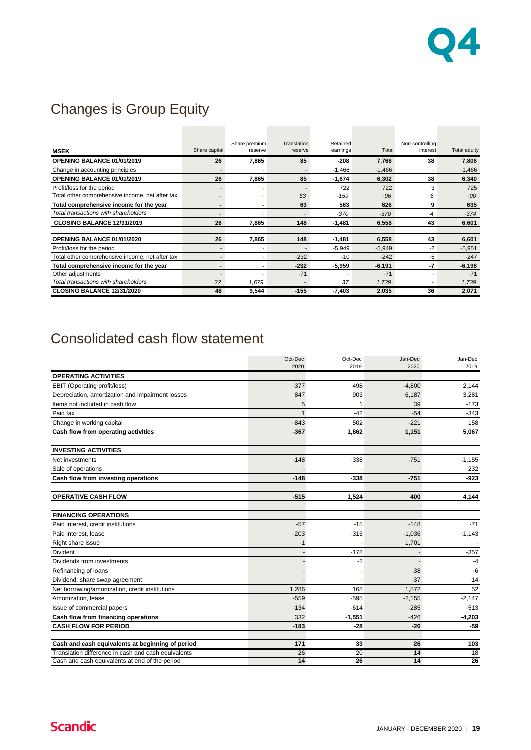

## Changes is Group Equity

|                                                 |               | Share premium | Translation              | Retained |          | Non-controlling |              |
|-------------------------------------------------|---------------|---------------|--------------------------|----------|----------|-----------------|--------------|
| <b>MSEK</b>                                     | Share capital | reserve       | reserve                  | earnings | Total    | interest        | Total equity |
| <b>OPENING BALANCE 01/01/2019</b>               | 26            | 7,865         | 85                       | -208     | 7,768    | 38              | 7,806        |
| Change in accounting principles                 |               |               | $\overline{\phantom{a}}$ | $-1,466$ | $-1,466$ |                 | $-1,466$     |
| OPENING BALANCE 01/01/2019                      | 26            | 7,865         | 85                       | $-1,674$ | 6,302    | 38              | 6,340        |
| Profit/loss for the period                      |               |               | ٠                        | 722      | 722      | 3               | 725          |
| Total other comprehensive income, net after tax |               |               | 63                       | $-159$   | $-96$    | 6               | $-90$        |
| Total comprehensive income for the year         |               |               | 63                       | 563      | 626      | 9               | 635          |
| Total transactions with shareholders            |               |               |                          | $-370$   | $-370$   | -4              | $-374$       |
| CLOSING BALANCE 12/31/2019                      | 26            | 7.865         | 148                      | -1,481   | 6,558    | 43              | 6,601        |
|                                                 |               |               |                          |          |          |                 |              |
| OPENING BALANCE 01/01/2020                      | 26            | 7,865         | 148                      | -1,481   | 6,558    | 43              | 6,601        |
| Profit/loss for the period                      |               |               | ٠                        | $-5,949$ | $-5.949$ | $-2$            | $-5,951$     |
| Total other comprehensive income, net after tax |               |               | $-232$                   | $-10$    | $-242$   | $-5$            | $-247$       |
| Total comprehensive income for the year         |               |               | $-232$                   | $-5,959$ | $-6,191$ | -7              | $-6,198$     |
| Other adjustments                               |               |               | $-71$                    |          | $-71$    |                 | $-71$        |
| Total transactions with shareholders            | 22            | 1,679         | ٠                        | 37       | 1,739    |                 | 1,739        |
| CLOSING BALANCE 12/31/2020                      | 48            | 9,544         | $-155$                   | $-7,403$ | 2,035    | 36              | 2,071        |

## Consolidated cash flow statement

|                                                     | Oct-Dec                  | Oct-Dec  | Jan-Dec  | Jan-Dec  |
|-----------------------------------------------------|--------------------------|----------|----------|----------|
|                                                     | 2020                     | 2019     | 2020     | 2019     |
| <b>OPERATING ACTIVITIES</b>                         |                          |          |          |          |
| EBIT (Operating profit/loss)                        | $-377$                   | 498      | $-4,800$ | 2,144    |
| Depreciation, amortization and impairment losses    | 847                      | 903      | 6,187    | 3,281    |
| Items not included in cash flow                     | 5                        | 1        | 39       | $-173$   |
| Paid tax                                            | $\mathbf{1}$             | $-42$    | $-54$    | $-343$   |
| Change in working capital                           | $-843$                   | 502      | $-221$   | 158      |
| Cash flow from operating activities                 | $-367$                   | 1.862    | 1,151    | 5.067    |
| <b>INVESTING ACTIVITIES</b>                         |                          |          |          |          |
| Net investments                                     | $-148$                   | $-338$   | $-751$   | $-1,155$ |
| Sale of operations                                  |                          |          |          | 232      |
| Cash flow from investing operations                 | $-148$                   | $-338$   | $-751$   | $-923$   |
| <b>OPERATIVE CASH FLOW</b>                          | $-515$                   | 1,524    | 400      | 4,144    |
| <b>FINANCING OPERATIONS</b>                         |                          |          |          |          |
| Paid interest, credit institutions                  | $-57$                    | $-15$    | $-148$   | $-71$    |
| Paid interest. lease                                | $-203$                   | $-315$   | $-1,036$ | $-1,143$ |
| Right share issue                                   | $-1$                     |          | 1,701    |          |
| Divident                                            |                          | $-178$   |          | $-357$   |
| Dividends from investments                          |                          | $-2$     |          | $-4$     |
| Refinancing of loans                                | $\overline{\phantom{a}}$ |          | $-38$    | $-6$     |
| Dividend, share swap agreement                      |                          |          | $-37$    | $-14$    |
| Net borrowing/amortization, credit institutions     | 1,286                    | 168      | 1,572    | 52       |
| Amortization, lease                                 | $-559$                   | $-595$   | $-2,155$ | $-2,147$ |
| Issue of commercial papers                          | $-134$                   | $-614$   | $-285$   | $-513$   |
| Cash flow from financing operations                 | 332                      | $-1,551$ | $-426$   | $-4,203$ |
| <b>CASH FLOW FOR PERIOD</b>                         | $-183$                   | $-28$    | $-26$    | $-59$    |
| Cash and cash equivalents at beginning of period    | 171                      | 33       | 26       | 103      |
| Translation difference in cash and cash equivalents | 26                       | 20       | 14       | $-18$    |
| Cash and cash equivalents at end of the period      | 14                       | 26       | 14       | 26       |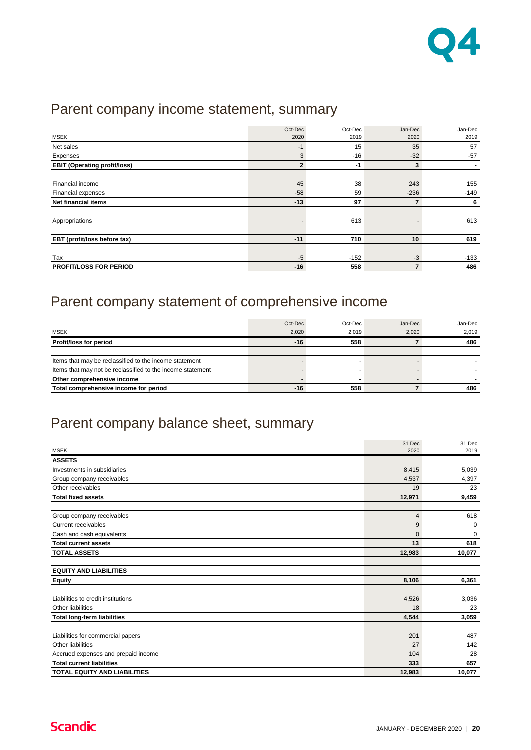

## Parent company income statement, summary

| <b>MSEK</b>                         | Oct-Dec<br>2020 | Oct-Dec<br>2019 | Jan-Dec<br>2020 | Jan-Dec<br>2019 |
|-------------------------------------|-----------------|-----------------|-----------------|-----------------|
| Net sales                           | $-1$            | 15              | 35              | 57              |
| Expenses                            | 3               | $-16$           | $-32$           | $-57$           |
| <b>EBIT (Operating profit/loss)</b> | $\overline{2}$  | -1              | 3               |                 |
|                                     |                 |                 |                 |                 |
| Financial income                    | 45              | 38              | 243             | 155             |
| Financial expenses                  | $-58$           | 59              | $-236$          | $-149$          |
| Net financial items                 | $-13$           | 97              | $\overline{7}$  | 6               |
|                                     |                 |                 |                 |                 |
| Appropriations                      |                 | 613             |                 | 613             |
|                                     |                 |                 |                 |                 |
| EBT (profit/loss before tax)        | $-11$           | 710             | 10              | 619             |
|                                     |                 |                 |                 |                 |
| Tax                                 | $-5$            | $-152$          | -3              | $-133$          |
| <b>PROFIT/LOSS FOR PERIOD</b>       | $-16$           | 558             | $\overline{7}$  | 486             |

## Parent company statement of comprehensive income

|                                                            | Oct-Dec | Oct-Dec | Jan-Dec | Jan-Dec |
|------------------------------------------------------------|---------|---------|---------|---------|
| <b>MSEK</b>                                                | 2.020   | 2.019   | 2.020   | 2.019   |
| Profit/loss for period                                     | $-16$   | 558     |         | 486     |
|                                                            |         |         |         |         |
| Items that may be reclassified to the income statement     |         |         |         |         |
| Items that may not be reclassified to the income statement |         |         |         |         |
| Other comprehensive income                                 |         |         |         |         |
| Total comprehensive income for period                      | $-16$   | 558     |         | 486     |

## Parent company balance sheet, summary

|                                     | 31 Dec         | 31 Dec      |
|-------------------------------------|----------------|-------------|
| <b>MSEK</b>                         | 2020           | 2019        |
| <b>ASSETS</b>                       |                |             |
| Investments in subsidiaries         | 8,415          | 5,039       |
| Group company receivables           | 4,537          | 4,397       |
| Other receivables                   | 19             | 23          |
| <b>Total fixed assets</b>           | 12,971         | 9,459       |
| Group company receivables           | $\overline{4}$ | 618         |
| <b>Current receivables</b>          | 9              | 0           |
| Cash and cash equivalents           | $\Omega$       | $\mathbf 0$ |
| <b>Total current assets</b>         | 13             | 618         |
| <b>TOTAL ASSETS</b>                 | 12,983         | 10,077      |
| <b>EQUITY AND LIABILITIES</b>       |                |             |
| <b>Equity</b>                       | 8,106          | 6,361       |
| Liabilities to credit institutions  | 4,526          | 3,036       |
| Other liabilities                   | 18             | 23          |
| <b>Total long-term liabilities</b>  | 4,544          | 3,059       |
| Liabilities for commercial papers   | 201            | 487         |
| Other liabilities                   | 27             | 142         |
| Accrued expenses and prepaid income | 104            | 28          |
| <b>Total current liabilities</b>    | 333            | 657         |
| <b>TOTAL EQUITY AND LIABILITIES</b> | 12,983         | 10,077      |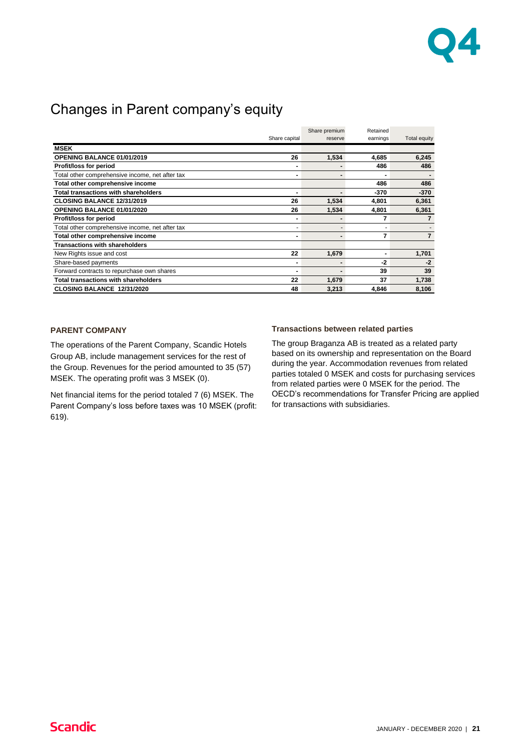

## Changes in Parent company's equity

|                                                 |               | Share premium | Retained |              |
|-------------------------------------------------|---------------|---------------|----------|--------------|
|                                                 | Share capital | reserve       | earnings | Total equity |
| <b>MSEK</b>                                     |               |               |          |              |
| <b>OPENING BALANCE 01/01/2019</b>               | 26            | 1,534         | 4.685    | 6.245        |
| Profit/loss for period                          |               |               | 486      | 486          |
| Total other comprehensive income, net after tax |               |               |          |              |
| Total other comprehensive income                |               |               | 486      | 486          |
| <b>Total transactions with shareholders</b>     |               |               | $-370$   | $-370$       |
| <b>CLOSING BALANCE 12/31/2019</b>               | 26            | 1,534         | 4,801    | 6,361        |
| <b>OPENING BALANCE 01/01/2020</b>               | 26            | 1,534         | 4,801    | 6,361        |
| Profit/loss for period                          |               |               | 7        |              |
| Total other comprehensive income, net after tax |               |               |          |              |
| Total other comprehensive income                |               | -             | 7        | 7            |
| <b>Transactions with shareholders</b>           |               |               |          |              |
| New Rights issue and cost                       | 22            | 1,679         |          | 1,701        |
| Share-based payments                            |               | -             | -2       | $-2$         |
| Forward contracts to repurchase own shares      | -             | -             | 39       | 39           |
| <b>Total transactions with shareholders</b>     | 22            | 1,679         | 37       | 1,738        |
| CLOSING BALANCE 12/31/2020                      | 48            | 3,213         | 4,846    | 8,106        |

### **PARENT COMPANY**

The operations of the Parent Company, Scandic Hotels Group AB, include management services for the rest of the Group. Revenues for the period amounted to 35 (57) MSEK. The operating profit was 3 MSEK (0).

Net financial items for the period totaled 7 (6) MSEK. The Parent Company's loss before taxes was 10 MSEK (profit: 619).

#### **Transactions between related parties**

The group Braganza AB is treated as a related party based on its ownership and representation on the Board during the year. Accommodation revenues from related parties totaled 0 MSEK and costs for purchasing services from related parties were 0 MSEK for the period. The OECD's recommendations for Transfer Pricing are applied for transactions with subsidiaries.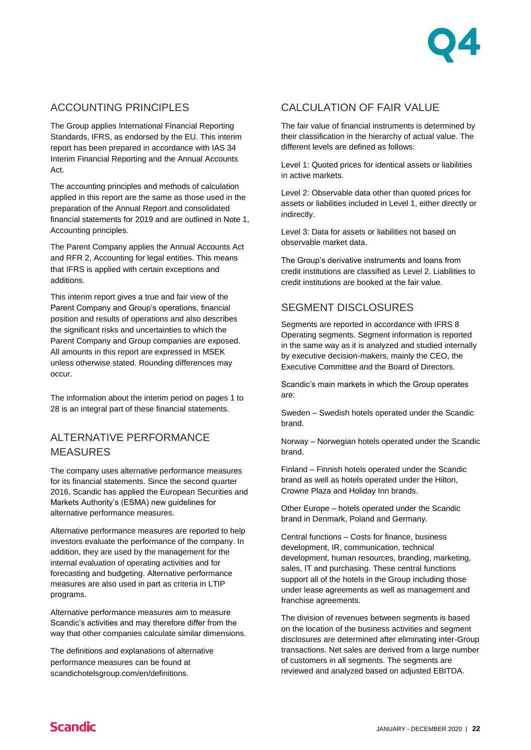

## ACCOUNTING PRINCIPLES

The Group applies International Financial Reporting Standards, IFRS, as endorsed by the EU. This interim report has been prepared in accordance with IAS 34 Interim Financial Reporting and the Annual Accounts Act.

The accounting principles and methods of calculation applied in this report are the same as those used in the preparation of the Annual Report and consolidated financial statements for 2019 and are outlined in Note 1, Accounting principles.

The Parent Company applies the Annual Accounts Act and RFR 2, Accounting for legal entities. This means that IFRS is applied with certain exceptions and additions.

This interim report gives a true and fair view of the Parent Company and Group's operations, financial position and results of operations and also describes the significant risks and uncertainties to which the Parent Company and Group companies are exposed. All amounts in this report are expressed in MSEK unless otherwise stated. Rounding differences may occur.

The information about the interim period on pages 1 to 28 is an integral part of these financial statements.

### AI TERNATIVE PERFORMANCE MEASURES

The company uses alternative performance measures for its financial statements. Since the second quarter 2016, Scandic has applied the European Securities and Markets Authority's (ESMA) new guidelines for alternative performance measures.

Alternative performance measures are reported to help investors evaluate the performance of the company. In addition, they are used by the management for the internal evaluation of operating activities and for forecasting and budgeting. Alternative performance measures are also used in part as criteria in LTIP programs.

Alternative performance measures aim to measure Scandic's activities and may therefore differ from the way that other companies calculate similar dimensions.

The definitions and explanations of alternative performance measures can be found at scandichotelsgroup.com/en/definitions.

## CALCULATION OF FAIR VALUE

The fair value of financial instruments is determined by their classification in the hierarchy of actual value. The different levels are defined as follows:

Level 1: Quoted prices for identical assets or liabilities in active markets.

Level 2: Observable data other than quoted prices for assets or liabilities included in Level 1, either directly or indirectly.

Level 3: Data for assets or liabilities not based on observable market data.

The Group's derivative instruments and loans from credit institutions are classified as Level 2. Liabilities to credit institutions are booked at the fair value.

## SEGMENT DISCLOSURES

Segments are reported in accordance with IFRS 8 Operating segments. Segment information is reported in the same way as it is analyzed and studied internally by executive decision-makers, mainly the CEO, the Executive Committee and the Board of Directors.

Scandic's main markets in which the Group operates are:

Sweden – Swedish hotels operated under the Scandic brand.

Norway – Norwegian hotels operated under the Scandic brand.

Finland – Finnish hotels operated under the Scandic brand as well as hotels operated under the Hilton, Crowne Plaza and Holiday Inn brands.

Other Europe – hotels operated under the Scandic brand in Denmark, Poland and Germany.

Central functions – Costs for finance, business development, IR, communication, technical development, human resources, branding, marketing, sales, IT and purchasing. These central functions support all of the hotels in the Group including those under lease agreements as well as management and franchise agreements.

The division of revenues between segments is based on the location of the business activities and segment disclosures are determined after eliminating inter-Group transactions. Net sales are derived from a large number of customers in all segments. The segments are reviewed and analyzed based on adjusted EBITDA.

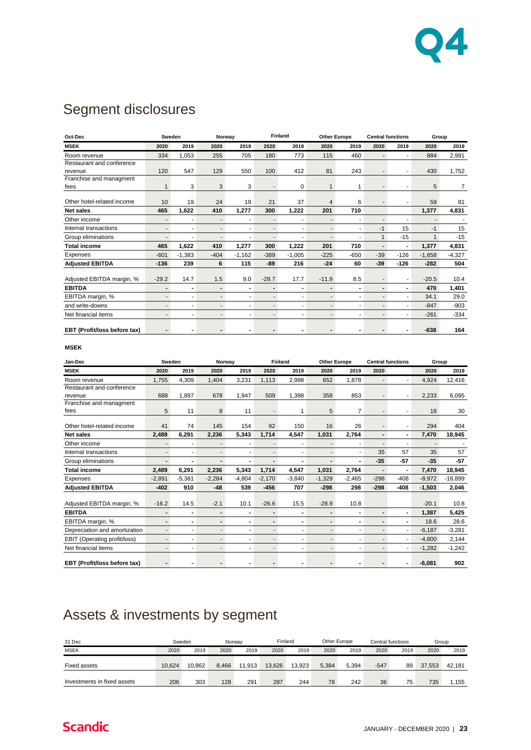

## Segment disclosures

| Oct-Dec                      | Sweden                   |                          | Norway                       |                |                          | <b>Finland</b> | <b>Other Europe</b>      |                | <b>Central functions</b> |                | Group          |          |
|------------------------------|--------------------------|--------------------------|------------------------------|----------------|--------------------------|----------------|--------------------------|----------------|--------------------------|----------------|----------------|----------|
| <b>MSEK</b>                  | 2020                     | 2019                     | 2020                         | 2019           | 2020                     | 2019           | 2020                     | 2019           | 2020                     | 2019           | 2020           | 2019     |
| Room revenue                 | 334                      | 1,053                    | 255                          | 705            | 180                      | 773            | 115                      | 460            | $\overline{\phantom{a}}$ | ٠              | 884            | 2,991    |
| Restaurant and conference    |                          |                          |                              |                |                          |                |                          |                |                          |                |                |          |
| revenue                      | 120                      | 547                      | 129                          | 550            | 100                      | 412            | 81                       | 243            |                          |                | 430            | 1.752    |
| Franchise and managment      |                          |                          |                              |                |                          |                |                          |                |                          |                |                |          |
| fees                         |                          | 3                        | 3                            | 3              | ٠                        | 0              | 1                        | 1              |                          | ÷,             | 5              | 7        |
| Other hotel-related income   | 10                       | 19                       | 24                           | 19             | 21                       | 37             | 4                        | 6              |                          | ٠              | 59             | 81       |
| <b>Net sales</b>             | 465                      | 1,622                    | 410                          | 1,277          | 300                      | 1,222          | 201                      | 710            |                          |                | 1,377          | 4,831    |
| Other income                 | $\overline{\phantom{a}}$ |                          | ٠                            | ٠              | $\overline{\phantom{a}}$ | ٠              | $\overline{a}$           | ٠              | ٠                        |                | $\blacksquare$ |          |
| Internal transactions        |                          |                          |                              | ä,             |                          | ٠              | $\overline{a}$           | ٠              | $-1$                     | 15             | $-1$           | 15       |
| Group eliminations           |                          |                          |                              | ٠              |                          |                |                          |                | $\mathbf{1}$             | $-15$          | $\mathbf{1}$   | $-15$    |
| <b>Total income</b>          | 465                      | 1,622                    | 410                          | 1,277          | 300                      | 1,222          | 201                      | 710            | $\overline{\phantom{0}}$ | $\blacksquare$ | 1,377          | 4,831    |
| Expenses                     | $-601$                   | $-1,383$                 | $-404$                       | $-1,162$       | $-389$                   | $-1,005$       | $-225$                   | $-650$         | $-39$                    | $-126$         | $-1,658$       | $-4,327$ |
| <b>Adjusted EBITDA</b>       | $-136$                   | 239                      | 6                            | 115            | $-89$                    | 216            | $-24$                    | 60             | $-39$                    | $-126$         | $-282$         | 504      |
| Adjusted EBITDA margin, %    | $-29.2$                  | 14.7                     | 1.5                          | 9.0            | $-29.7$                  | 17.7           | $-11.9$                  | 8.5            | ٠                        | ٠              | $-20.5$        | 10.4     |
| <b>EBITDA</b>                | $\blacksquare$           | $\blacksquare$           | $\qquad \qquad \blacksquare$ | $\blacksquare$ | $\blacksquare$           | $\blacksquare$ | $\blacksquare$           | $\blacksquare$ | $\blacksquare$           | $\blacksquare$ | 470            | 1,401    |
| EBITDA margin, %             | $\blacksquare$           | ä,                       | ٠                            | ä,             | $\blacksquare$           | ٠              | $\overline{\phantom{a}}$ | ä,             | ٠                        | ä,             | 34.1           | 29.0     |
| and write-downs              | $\blacksquare$           | ٠                        | ٠                            | ٠              | $\blacksquare$           | ٠              | $\overline{a}$           | ÷              | ٠                        | ٠              | $-847$         | $-903$   |
| Net financial items          | $\blacksquare$           |                          | ٠                            | ٠              | ٠                        | ٠              | $\overline{\phantom{a}}$ | ٠              | ٠                        | ä,             | $-261$         | $-334$   |
| EBT (Profit/loss before tax) |                          | $\overline{\phantom{0}}$ | $\blacksquare$               | $\blacksquare$ | $\overline{\phantom{0}}$ | $\blacksquare$ | $\blacksquare$           | $\blacksquare$ |                          |                | $-638$         | 164      |
| $- - -$                      |                          |                          |                              |                |                          |                |                          |                |                          |                |                |          |

**MSEK**

| Jan-Dec                       | Sweden         |                | Norway                   |                          |                          | <b>Finland</b> | <b>Other Europe</b>      |                | <b>Central functions</b> |                          | Group    |           |
|-------------------------------|----------------|----------------|--------------------------|--------------------------|--------------------------|----------------|--------------------------|----------------|--------------------------|--------------------------|----------|-----------|
| <b>MSEK</b>                   | 2020           | 2019           | 2020                     | 2019                     | 2020                     | 2019           | 2020                     | 2019           | 2020                     |                          | 2020     | 2019      |
| Room revenue                  | 1,755          | 4,309          | 1,404                    | 3,231                    | 1.113                    | 2,998          | 652                      | 1.878          | $\overline{\phantom{a}}$ | ۰                        | 4,924    | 12,416    |
| Restaurant and conference     |                |                |                          |                          |                          |                |                          |                |                          |                          |          |           |
| revenue                       | 688            | 1,897          | 678                      | 1,947                    | 509                      | 1,398          | 358                      | 853            |                          |                          | 2,233    | 6,095     |
| Franchise and managment       |                |                |                          |                          |                          |                |                          |                |                          |                          |          |           |
| fees                          | 5              | 11             | 8                        | 11                       |                          | 1              | 5                        | $\overline{7}$ |                          | ٠                        | 18       | 30        |
| Other hotel-related income    | 41             | 74             | 145                      | 154                      | 92                       | 150            | 16                       | 26             |                          | ٠                        | 294      | 404       |
| <b>Net sales</b>              | 2,489          | 6,291          | 2,236                    | 5,343                    | 1,714                    | 4.547          | 1,031                    | 2,764          | $\overline{\phantom{0}}$ | $\overline{\phantom{a}}$ | 7,470    | 18,945    |
| Other income                  |                |                |                          |                          |                          |                | $\overline{\phantom{0}}$ |                |                          |                          |          |           |
| Internal transactions         |                |                |                          | ٠                        |                          | ٠              | $\overline{\phantom{a}}$ | ٠              | 35                       | 57                       | 35       | 57        |
| Group eliminations            |                |                |                          |                          |                          |                |                          |                | $-35$                    | $-57$                    | $-35$    | $-57$     |
| <b>Total income</b>           | 2,489          | 6,291          | 2,236                    | 5,343                    | 1,714                    | 4,547          | 1,031                    | 2,764          |                          | ٠                        | 7,470    | 18,945    |
| Expenses                      | $-2,891$       | $-5,381$       | $-2,284$                 | $-4,804$                 | $-2,170$                 | $-3,840$       | $-1,329$                 | $-2,465$       | $-298$                   | $-408$                   | $-8,972$ | $-16,899$ |
| <b>Adjusted EBITDA</b>        | $-402$         | 910            | $-48$                    | 539                      | $-456$                   | 707            | $-298$                   | 298            | $-298$                   | $-408$                   | $-1,503$ | 2,046     |
| Adjusted EBITDA margin, %     | $-16.2$        | 14.5           | $-2.1$                   | 10.1                     | $-26.6$                  | 15.5           | $-28.9$                  | 10.8           |                          |                          | $-20.1$  | 10.8      |
| <b>EBITDA</b>                 | $\blacksquare$ |                | $\overline{\phantom{0}}$ | $\overline{a}$           |                          | $\blacksquare$ |                          |                |                          |                          | 1,387    | 5,425     |
| EBITDA margin, %              | $\blacksquare$ | $\blacksquare$ | $\blacksquare$           | -                        | $\blacksquare$           | $\blacksquare$ | $\blacksquare$           | ٠              | $\overline{\phantom{0}}$ | $\blacksquare$           | 18.6     | 28.6      |
| Depreciation and amortization |                | ٠              | ۰                        | ٠                        | $\overline{\phantom{0}}$ | ٠              | $\overline{\phantom{0}}$ |                |                          | ۰                        | $-6,187$ | $-3,281$  |
| EBIT (Operating profit/loss)  | $\blacksquare$ |                | ٠                        | ٠                        | ٠                        | ٠              | $\overline{\phantom{a}}$ | ٠              |                          | ٠                        | $-4,800$ | 2,144     |
| Net financial items           |                | ٠              | ٠                        | $\overline{\phantom{0}}$ | $\overline{\phantom{0}}$ | ٠              | $\overline{\phantom{0}}$ | ۰              |                          | ٠                        | $-1,282$ | $-1,242$  |
| EBT (Profit/loss before tax)  |                |                |                          | $\overline{\phantom{0}}$ |                          |                |                          |                |                          |                          | $-6,081$ | 902       |

## Assets & investments by segment

| 31 Dec                      | Sweden |        | Norway |        | Finland |        | Other Europe |       | Central functions |      | Group  |        |
|-----------------------------|--------|--------|--------|--------|---------|--------|--------------|-------|-------------------|------|--------|--------|
| <b>MSEK</b>                 | 2020   | 2019   | 2020   | 2019   | 2020    | 2019   | 2020         | 2019  | 2020              | 2019 | 2020   | 2019   |
| Fixed assets                | 10.624 | 10.862 | 8.466  | 11.913 | 13.626  | 13.923 | 5.384        | 5.394 | $-547$            | 89   | 37.553 | 42.181 |
| Investments in fixed assets | 206    | 303    | 128    | 291    | 287     | 244    | 78           | 242   | 36                | 75   | 735    | 1.155  |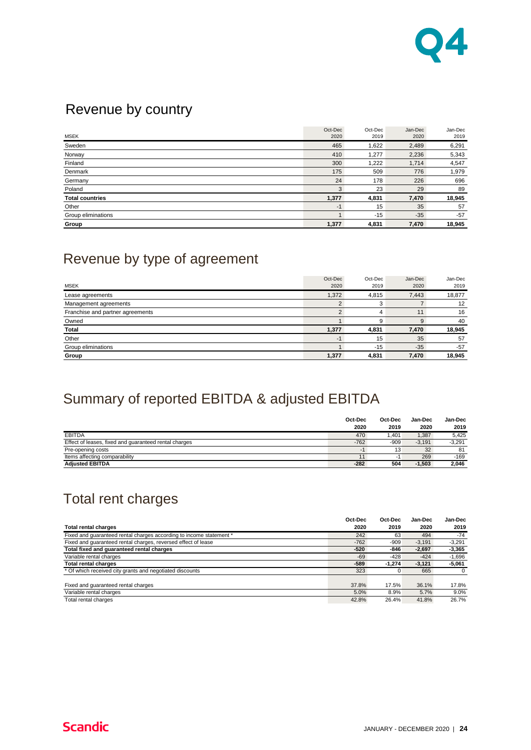

## Revenue by country

| <b>MSEK</b>            | Oct-Dec<br>2020 | Oct-Dec<br>2019 | Jan-Dec<br>2020 | Jan-Dec<br>2019 |
|------------------------|-----------------|-----------------|-----------------|-----------------|
|                        |                 |                 |                 |                 |
| Sweden                 | 465             | 1,622           | 2,489           | 6,291           |
| Norway                 | 410             | 1,277           | 2,236           | 5,343           |
| Finland                | 300             | 1,222           | 1,714           | 4,547           |
| Denmark                | 175             | 509             | 776             | 1,979           |
| Germany                | 24              | 178             | 226             | 696             |
| Poland                 | 3               | 23              | 29              | 89              |
| <b>Total countries</b> | 1,377           | 4,831           | 7,470           | 18,945          |
| Other                  | $-1$            | 15              | 35              | 57              |
| Group eliminations     |                 | $-15$           | $-35$           | $-57$           |
| Group                  | 1,377           | 4,831           | 7,470           | 18,945          |

## Revenue by type of agreement

| Oct-Dec | Oct-Dec | Jan-Dec | Jan-Dec |
|---------|---------|---------|---------|
| 2020    | 2019    | 2020    | 2019    |
| 1,372   | 4,815   | 7,443   | 18,877  |
|         | 3       |         | 12      |
|         | 4       | 11      | 16      |
|         | я       | 9       | 40      |
| 1,377   | 4,831   | 7,470   | 18,945  |
| $-1$    | 15      | 35      | 57      |
|         | $-15$   | $-35$   | $-57$   |
| 1,377   | 4,831   | 7,470   | 18,945  |
|         |         |         |         |

## Summary of reported EBITDA & adjusted EBITDA

|                                                       | Oct-Dec | Oct-Dec | Jan-Dec  | <b>Jan-Dec</b> |
|-------------------------------------------------------|---------|---------|----------|----------------|
|                                                       | 2020    | 2019    | 2020     | 2019           |
| <b>EBITDA</b>                                         | 470     | 1.401   | 1.387    | 5.425          |
| Effect of leases, fixed and quaranteed rental charges | $-762$  | $-909$  | $-3.191$ | $-3,291$       |
| Pre-opening costs                                     | ÷       | 13      | 32       | 81             |
| Items affecting comparability                         | 11      | -1      | 269      | $-169$         |
| <b>Adiusted EBITDA</b>                                | $-282$  | 504     | $-1.503$ | 2.046          |

## Total rent charges

|                                                                     | Oct-Dec | Oct-Dec  | Jan-Dec  | Jan-Dec  |
|---------------------------------------------------------------------|---------|----------|----------|----------|
| <b>Total rental charges</b>                                         | 2020    | 2019     | 2020     | 2019     |
| Fixed and quaranteed rental charges according to income statement * | 242     | 63       | 494      | $-74$    |
| Fixed and quaranteed rental charges, reversed effect of lease       | $-762$  | $-909$   | $-3.191$ | $-3,291$ |
| Total fixed and guaranteed rental charges                           | $-520$  | -846     | $-2,697$ | $-3,365$ |
| Variable rental charges                                             | $-69$   | $-428$   | $-424$   | $-1,696$ |
| <b>Total rental charges</b>                                         | $-589$  | $-1.274$ | $-3,121$ | $-5,061$ |
| * Of which received city grants and negotiated discounts            | 323     | 0        | 665      | 0        |
|                                                                     |         |          |          |          |
| Fixed and quaranteed rental charges                                 | 37.8%   | 17.5%    | 36.1%    | 17.8%    |
| Variable rental charges                                             | 5.0%    | 8.9%     | 5.7%     | 9.0%     |
| Total rental charges                                                | 42.8%   | 26.4%    | 41.8%    | 26.7%    |

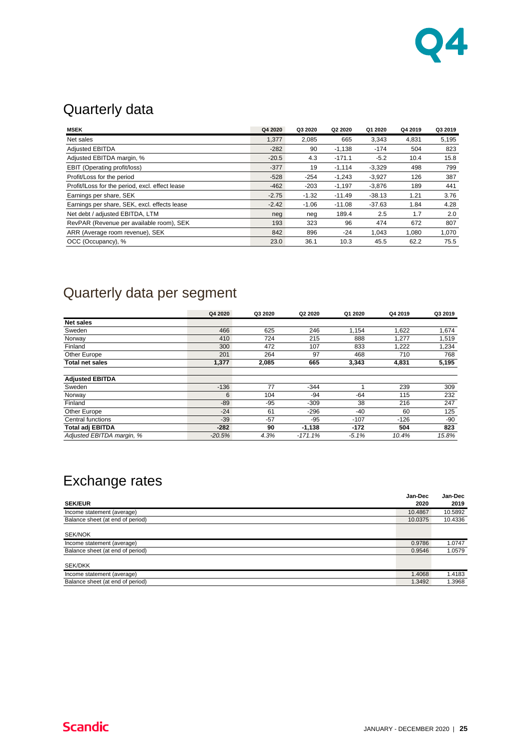

## Quarterly data

| <b>MSEK</b>                                     | Q4 2020 | Q3 2020 | Q2 2020  | Q1 2020  | Q4 2019 | Q3 2019 |
|-------------------------------------------------|---------|---------|----------|----------|---------|---------|
| Net sales                                       | 1,377   | 2,085   | 665      | 3,343    | 4,831   | 5,195   |
| <b>Adjusted EBITDA</b>                          | $-282$  | 90      | $-1,138$ | $-174$   | 504     | 823     |
| Adjusted EBITDA margin, %                       | $-20.5$ | 4.3     | $-171.1$ | $-5.2$   | 10.4    | 15.8    |
| <b>EBIT (Operating profit/loss)</b>             | $-377$  | 19      | $-1,114$ | $-3,329$ | 498     | 799     |
| Profit/Loss for the period                      | $-528$  | $-254$  | $-1.243$ | $-3.927$ | 126     | 387     |
| Profit/ILoss for the period, excl. effect lease | $-462$  | $-203$  | $-1,197$ | $-3,876$ | 189     | 441     |
| Earnings per share, SEK                         | $-2.75$ | $-1.32$ | $-11.49$ | $-38.13$ | 1.21    | 3.76    |
| Earnings per share, SEK, excl. effects lease    | $-2.42$ | $-1.06$ | $-11.08$ | $-37.63$ | 1.84    | 4.28    |
| Net debt / adjusted EBITDA, LTM                 | neg     | neg     | 189.4    | 2.5      | 1.7     | 2.0     |
| RevPAR (Revenue per available room), SEK        | 193     | 323     | 96       | 474      | 672     | 807     |
| ARR (Average room revenue), SEK                 | 842     | 896     | $-24$    | 1.043    | 1.080   | 1.070   |
| OCC (Occupancy), %                              | 23.0    | 36.1    | 10.3     | 45.5     | 62.2    | 75.5    |

## Quarterly data per segment

|                           | Q4 2020  | Q3 2020 | Q <sub>2</sub> 2020 | Q1 2020 | Q4 2019 | Q3 2019 |
|---------------------------|----------|---------|---------------------|---------|---------|---------|
| <b>Net sales</b>          |          |         |                     |         |         |         |
| Sweden                    | 466      | 625     | 246                 | 1.154   | 1,622   | 1,674   |
| Norway                    | 410      | 724     | 215                 | 888     | 1,277   | 1,519   |
| Finland                   | 300      | 472     | 107                 | 833     | 1,222   | 1,234   |
| Other Europe              | 201      | 264     | 97                  | 468     | 710     | 768     |
| <b>Total net sales</b>    | 1,377    | 2,085   | 665                 | 3,343   | 4,831   | 5,195   |
| <b>Adjusted EBITDA</b>    |          |         |                     |         |         |         |
| Sweden                    | $-136$   | 77      | $-344$              | 1       | 239     | 309     |
| Norway                    | 6        | 104     | $-94$               | $-64$   | 115     | 232     |
| Finland                   | $-89$    | -95     | $-309$              | 38      | 216     | 247     |
| Other Europe              | $-24$    | 61      | $-296$              | -40     | 60      | 125     |
| Central functions         | $-39$    | $-57$   | $-95$               | $-107$  | $-126$  | -90     |
| <b>Total adj EBITDA</b>   | $-282$   | 90      | $-1,138$            | $-172$  | 504     | 823     |
| Adjusted EBITDA margin, % | $-20.5%$ | 4.3%    | $-171.1%$           | $-5.1%$ | 10.4%   | 15.8%   |

## Exchange rates

| ັ                                |         |         |
|----------------------------------|---------|---------|
|                                  | Jan-Dec | Jan-Dec |
| <b>SEK/EUR</b>                   | 2020    | 2019    |
| Income statement (average)       | 10.4867 | 10.5892 |
| Balance sheet (at end of period) | 10.0375 | 10.4336 |
|                                  |         |         |
| <b>SEK/NOK</b>                   |         |         |
| Income statement (average)       | 0.9786  | 1.0747  |
| Balance sheet (at end of period) | 0.9546  | 1.0579  |
|                                  |         |         |
| <b>SEK/DKK</b>                   |         |         |
| Income statement (average)       | 1.4068  | 1.4183  |
| Balance sheet (at end of period) | 1.3492  | 1.3968  |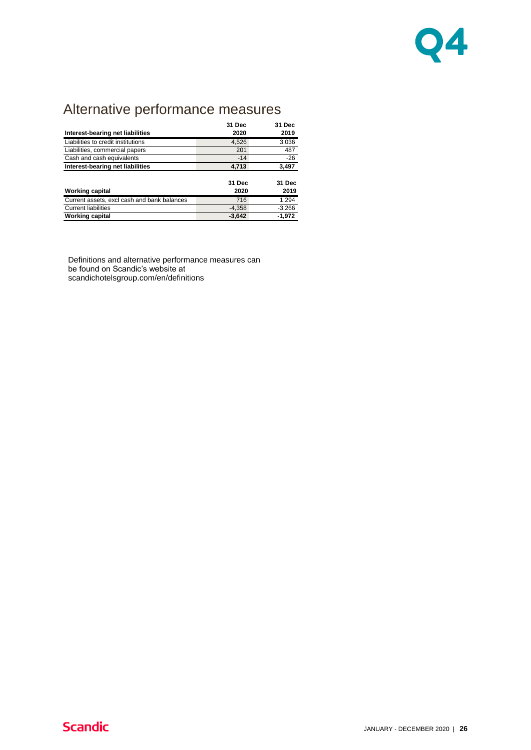

## Alternative performance measures

|                                             | 31 Dec   | 31 Dec   |
|---------------------------------------------|----------|----------|
| Interest-bearing net liabilities            | 2020     | 2019     |
| Liabilities to credit institutions          | 4,526    | 3,036    |
| Liabilities, commercial papers              | 201      | 487      |
| Cash and cash equivalents                   | $-14$    | $-26$    |
| Interest-bearing net liabilities            | 4,713    | 3,497    |
|                                             |          |          |
|                                             | 31 Dec   | 31 Dec   |
| <b>Working capital</b>                      | 2020     | 2019     |
| Current assets, excl cash and bank balances | 716      | 1,294    |
| <b>Current liabilities</b>                  | $-4,358$ | $-3,266$ |
| <b>Working capital</b>                      | $-3,642$ | $-1.972$ |

Definitions and alternative performance measures can be found on Scandic's website at scandichotelsgroup.com/en/definitions

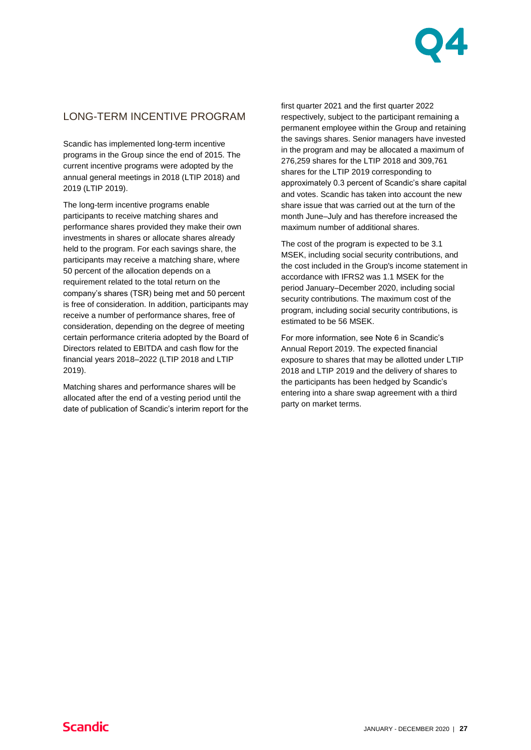

## LONG-TERM INCENTIVE PROGRAM

Scandic has implemented long-term incentive programs in the Group since the end of 2015. The current incentive programs were adopted by the annual general meetings in 2018 (LTIP 2018) and 2019 (LTIP 2019).

The long-term incentive programs enable participants to receive matching shares and performance shares provided they make their own investments in shares or allocate shares already held to the program. For each savings share, the participants may receive a matching share, where 50 percent of the allocation depends on a requirement related to the total return on the company's shares (TSR) being met and 50 percent is free of consideration. In addition, participants may receive a number of performance shares, free of consideration, depending on the degree of meeting certain performance criteria adopted by the Board of Directors related to EBITDA and cash flow for the financial years 2018–2022 (LTIP 2018 and LTIP 2019).

Matching shares and performance shares will be allocated after the end of a vesting period until the date of publication of Scandic's interim report for the first quarter 2021 and the first quarter 2022 respectively, subject to the participant remaining a permanent employee within the Group and retaining the savings shares. Senior managers have invested in the program and may be allocated a maximum of 276,259 shares for the LTIP 2018 and 309,761 shares for the LTIP 2019 corresponding to approximately 0.3 percent of Scandic's share capital and votes. Scandic has taken into account the new share issue that was carried out at the turn of the month June–July and has therefore increased the maximum number of additional shares.

The cost of the program is expected to be 3.1 MSEK, including social security contributions, and the cost included in the Group's income statement in accordance with IFRS2 was 1.1 MSEK for the period January–December 2020, including social security contributions. The maximum cost of the program, including social security contributions, is estimated to be 56 MSEK.

For more information, see Note 6 in Scandic's Annual Report 2019. The expected financial exposure to shares that may be allotted under LTIP 2018 and LTIP 2019 and the delivery of shares to the participants has been hedged by Scandic's entering into a share swap agreement with a third party on market terms.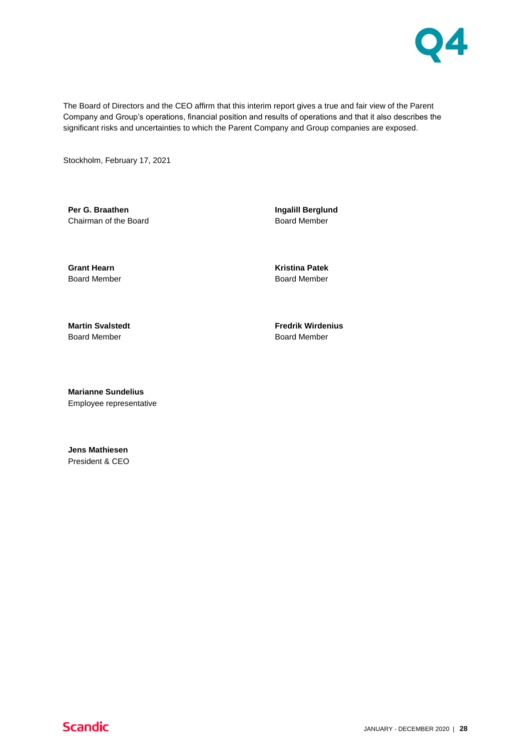

The Board of Directors and the CEO affirm that this interim report gives a true and fair view of the Parent Company and Group's operations, financial position and results of operations and that it also describes the significant risks and uncertainties to which the Parent Company and Group companies are exposed.

Stockholm, February 17, 2021

**Per G. Braathen** Chairman of the Board **Ingalill Berglund** Board Member

**Grant Hearn** Board Member

**Kristina Patek** Board Member

**Martin Svalstedt** Board Member

**Fredrik Wirdenius** Board Member

**Marianne Sundelius** Employee representative

**Jens Mathiesen** President & CEO

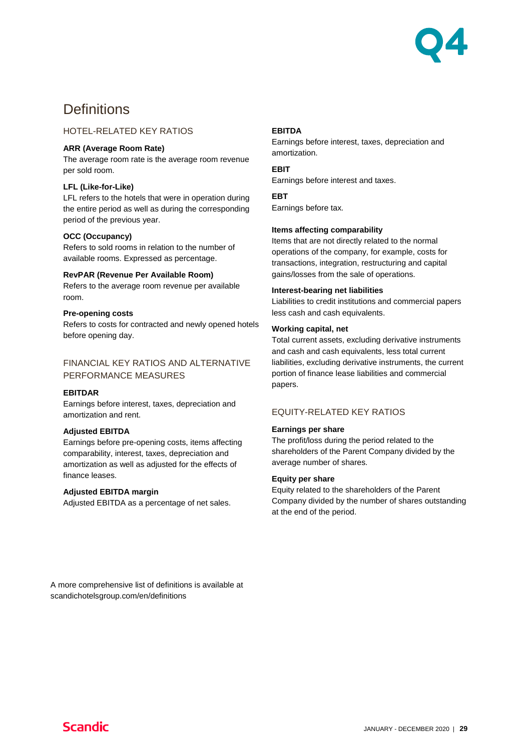

## **Definitions**

### HOTEL-RELATED KEY RATIOS

### **ARR (Average Room Rate)**

The average room rate is the average room revenue per sold room.

### **LFL (Like-for-Like)**

LFL refers to the hotels that were in operation during the entire period as well as during the corresponding period of the previous year.

### **OCC (Occupancy)**

Refers to sold rooms in relation to the number of available rooms. Expressed as percentage.

#### **RevPAR (Revenue Per Available Room)**

Refers to the average room revenue per available room.

#### **Pre-opening costs**

Refers to costs for contracted and newly opened hotels before opening day.

### FINANCIAL KEY RATIOS AND ALTERNATIVE PERFORMANCE MEASURES

### **EBITDAR**

Earnings before interest, taxes, depreciation and amortization and rent.

#### **Adjusted EBITDA**

Earnings before pre-opening costs, items affecting comparability, interest, taxes, depreciation and amortization as well as adjusted for the effects of finance leases.

### **Adjusted EBITDA margin**

Adjusted EBITDA as a percentage of net sales.

### **EBITDA**

Earnings before interest, taxes, depreciation and amortization.

### **EBIT**

Earnings before interest and taxes.

### **EBT**

Earnings before tax.

### **Items affecting comparability**

Items that are not directly related to the normal operations of the company, for example, costs for transactions, integration, restructuring and capital gains/losses from the sale of operations.

#### **Interest-bearing net liabilities**

Liabilities to credit institutions and commercial papers less cash and cash equivalents.

### **Working capital, net**

Total current assets, excluding derivative instruments and cash and cash equivalents, less total current liabilities, excluding derivative instruments, the current portion of finance lease liabilities and commercial papers.

### EQUITY-RELATED KEY RATIOS

#### **Earnings per share**

The profit/loss during the period related to the shareholders of the Parent Company divided by the average number of shares.

#### **Equity per share**

Equity related to the shareholders of the Parent Company divided by the number of shares outstanding at the end of the period.

A more comprehensive list of definitions is available at scandichotelsgroup.com/en/definitions